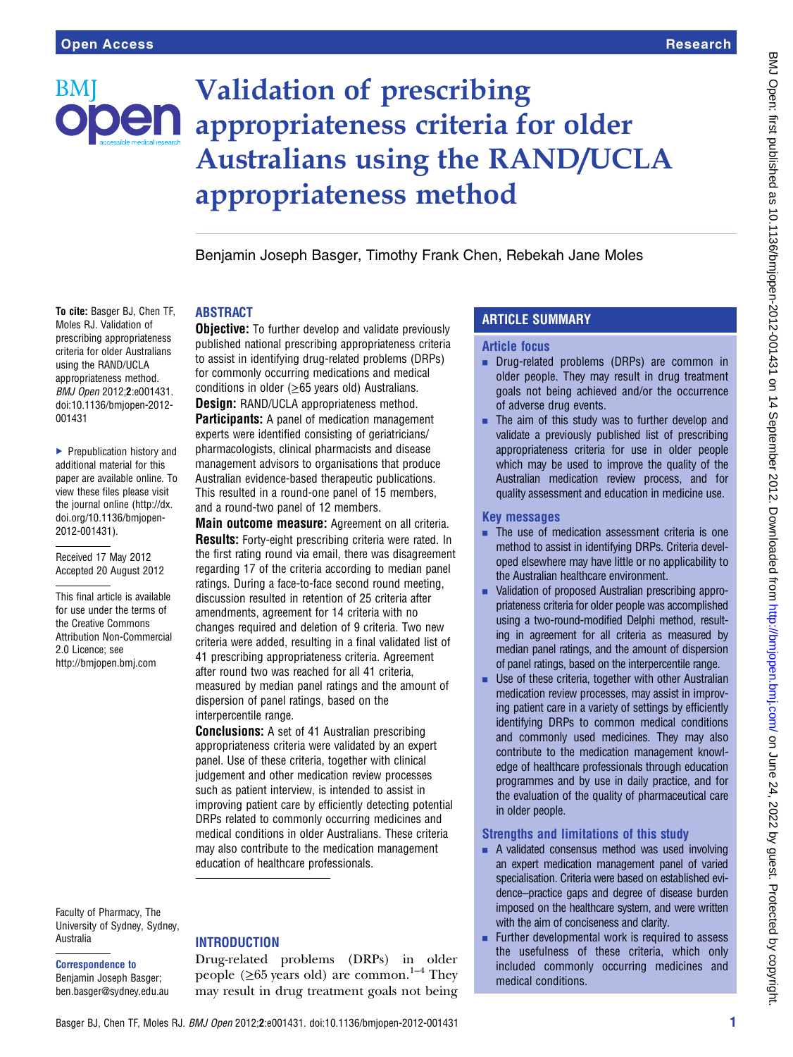# BMI

## Validation of prescribing **DEN** appropriateness criteria for older Australians using the RAND/UCLA appropriateness method

Benjamin Joseph Basger, Timothy Frank Chen, Rebekah Jane Moles

#### To cite: Basger BJ, Chen TF, Moles RJ. Validation of prescribing appropriateness criteria for older Australians using the RAND/UCLA appropriateness method. BMJ Open 2012;2:e001431. doi:10.1136/bmjopen-2012- 001431

▶ Prepublication history and additional material for this paper are available online. To view these files please visit the journal online ([http://dx.](http://bmjopen.bmj.com) [doi.org/10.1136/bmjopen-](http://bmjopen.bmj.com)[2012-001431](http://bmjopen.bmj.com)).

Received 17 May 2012 Accepted 20 August 2012

This final article is available for use under the terms of the Creative Commons Attribution Non-Commercial 2.0 Licence; see <http://bmjopen.bmj.com>

Faculty of Pharmacy, The University of Sydney, Sydney, Australia

Correspondence to Benjamin Joseph Basger; ben.basger@sydney.edu.au

#### ABSTRACT

**Objective:** To further develop and validate previously published national prescribing appropriateness criteria to assist in identifying drug-related problems (DRPs) for commonly occurring medications and medical conditions in older ( $\geq$ 65 years old) Australians. **Design: RAND/UCLA appropriateness method. Participants:** A panel of medication management experts were identified consisting of geriatricians/ pharmacologists, clinical pharmacists and disease management advisors to organisations that produce Australian evidence-based therapeutic publications. This resulted in a round-one panel of 15 members, and a round-two panel of 12 members.

Main outcome measure: Agreement on all criteria. Results: Forty-eight prescribing criteria were rated. In the first rating round via email, there was disagreement regarding 17 of the criteria according to median panel ratings. During a face-to-face second round meeting, discussion resulted in retention of 25 criteria after amendments, agreement for 14 criteria with no changes required and deletion of 9 criteria. Two new criteria were added, resulting in a final validated list of 41 prescribing appropriateness criteria. Agreement after round two was reached for all 41 criteria, measured by median panel ratings and the amount of dispersion of panel ratings, based on the interpercentile range.

Conclusions: A set of 41 Australian prescribing appropriateness criteria were validated by an expert panel. Use of these criteria, together with clinical judgement and other medication review processes such as patient interview, is intended to assist in improving patient care by efficiently detecting potential DRPs related to commonly occurring medicines and medical conditions in older Australians. These criteria may also contribute to the medication management education of healthcare professionals.

### **INTRODUCTION** Drug-related problems (DRPs) in older

people ( $\geq 65$  years old) are common.<sup>1–4</sup> They may result in drug treatment goals not being

#### ARTICLE SUMMARY

#### Article focus

- **Drug-related problems (DRPs) are common in** older people. They may result in drug treatment goals not being achieved and/or the occurrence of adverse drug events.
- $\blacksquare$  The aim of this study was to further develop and validate a previously published list of prescribing appropriateness criteria for use in older people which may be used to improve the quality of the Australian medication review process, and for quality assessment and education in medicine use.

#### Key messages

- $\blacksquare$  The use of medication assessment criteria is one method to assist in identifying DRPs. Criteria developed elsewhere may have little or no applicability to the Australian healthcare environment.
- Validation of proposed Australian prescribing appropriateness criteria for older people was accomplished using a two-round-modified Delphi method, resulting in agreement for all criteria as measured by median panel ratings, and the amount of dispersion of panel ratings, based on the interpercentile range.
- $\blacksquare$  Use of these criteria, together with other Australian medication review processes, may assist in improving patient care in a variety of settings by efficiently identifying DRPs to common medical conditions and commonly used medicines. They may also contribute to the medication management knowledge of healthcare professionals through education programmes and by use in daily practice, and for the evaluation of the quality of pharmaceutical care in older people.

#### Strengths and limitations of this study

- $\blacksquare$  A validated consensus method was used involving an expert medication management panel of varied specialisation. Criteria were based on established evidence–practice gaps and degree of disease burden imposed on the healthcare system, and were written with the aim of conciseness and clarity.
- Further developmental work is required to assess the usefulness of these criteria, which only included commonly occurring medicines and medical conditions.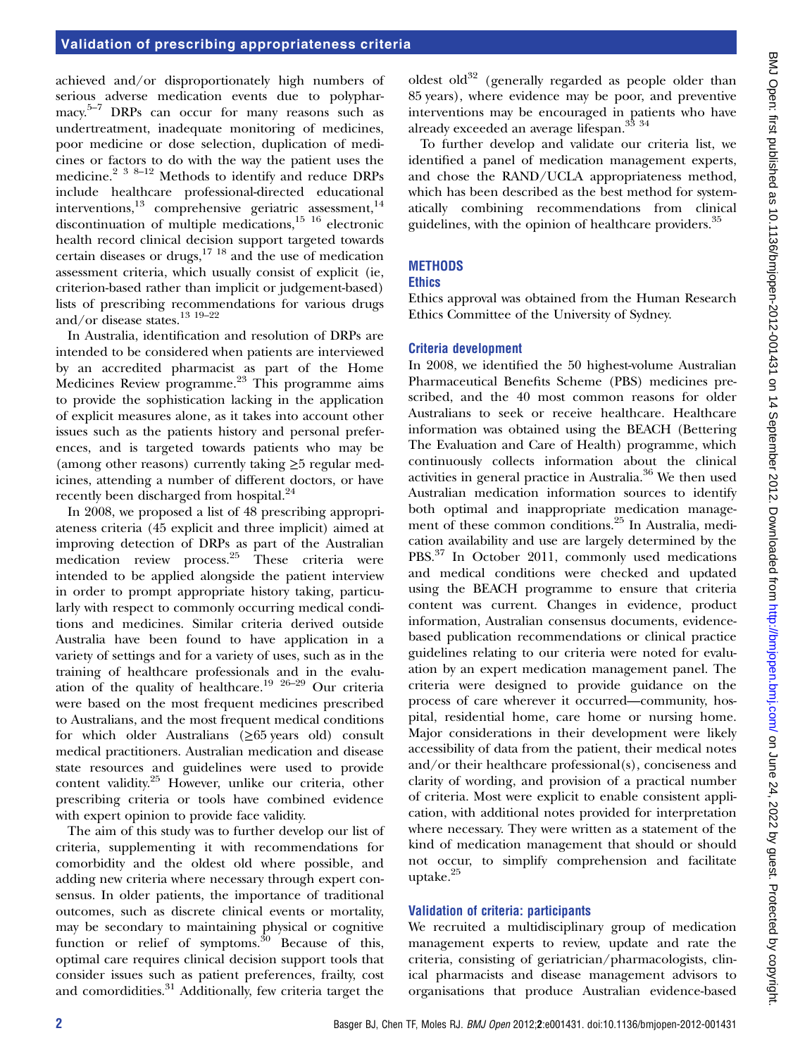achieved and/or disproportionately high numbers of serious adverse medication events due to polypharmacy.<sup>5-7</sup> DRPs can occur for many reasons such as undertreatment, inadequate monitoring of medicines, poor medicine or dose selection, duplication of medicines or factors to do with the way the patient uses the medicine.<sup>2</sup> <sup>3 8–12</sup> Methods to identify and reduce DRPs include healthcare professional-directed educational interventions,<sup>13</sup> comprehensive geriatric assessment,<sup>14</sup> discontinuation of multiple medications, $15 \tcdot 16$  electronic health record clinical decision support targeted towards certain diseases or drugs, $17 \text{ } 18$  and the use of medication assessment criteria, which usually consist of explicit (ie, criterion-based rather than implicit or judgement-based) lists of prescribing recommendations for various drugs and/or disease states.13 19–<sup>22</sup>

In Australia, identification and resolution of DRPs are intended to be considered when patients are interviewed by an accredited pharmacist as part of the Home Medicines Review programme.23 This programme aims to provide the sophistication lacking in the application of explicit measures alone, as it takes into account other issues such as the patients history and personal preferences, and is targeted towards patients who may be (among other reasons) currently taking  $\geq$ 5 regular medicines, attending a number of different doctors, or have recently been discharged from hospital.<sup>24</sup>

In 2008, we proposed a list of 48 prescribing appropriateness criteria (45 explicit and three implicit) aimed at improving detection of DRPs as part of the Australian medication review process.25 These criteria were intended to be applied alongside the patient interview in order to prompt appropriate history taking, particularly with respect to commonly occurring medical conditions and medicines. Similar criteria derived outside Australia have been found to have application in a variety of settings and for a variety of uses, such as in the training of healthcare professionals and in the evaluation of the quality of healthcare.<sup>19 26–29</sup> Our criteria were based on the most frequent medicines prescribed to Australians, and the most frequent medical conditions for which older Australians  $(≥65$  years old) consult medical practitioners. Australian medication and disease state resources and guidelines were used to provide content validity.25 However, unlike our criteria, other prescribing criteria or tools have combined evidence with expert opinion to provide face validity.

The aim of this study was to further develop our list of criteria, supplementing it with recommendations for comorbidity and the oldest old where possible, and adding new criteria where necessary through expert consensus. In older patients, the importance of traditional outcomes, such as discrete clinical events or mortality, may be secondary to maintaining physical or cognitive function or relief of symptoms.<sup>30</sup> Because of this, optimal care requires clinical decision support tools that consider issues such as patient preferences, frailty, cost and comordidities.31 Additionally, few criteria target the

oldest old $32$  (generally regarded as people older than 85 years), where evidence may be poor, and preventive interventions may be encouraged in patients who have already exceeded an average lifespan.<sup>33</sup> <sup>34</sup>

To further develop and validate our criteria list, we identified a panel of medication management experts, and chose the RAND/UCLA appropriateness method, which has been described as the best method for systematically combining recommendations from clinical guidelines, with the opinion of healthcare providers.<sup>35</sup>

#### METHODS

#### **Ethics**

Ethics approval was obtained from the Human Research Ethics Committee of the University of Sydney.

#### Criteria development

In 2008, we identified the 50 highest-volume Australian Pharmaceutical Benefits Scheme (PBS) medicines prescribed, and the 40 most common reasons for older Australians to seek or receive healthcare. Healthcare information was obtained using the BEACH (Bettering The Evaluation and Care of Health) programme, which continuously collects information about the clinical activities in general practice in Australia.<sup>36</sup> We then used Australian medication information sources to identify both optimal and inappropriate medication management of these common conditions.<sup>25</sup> In Australia, medication availability and use are largely determined by the PBS.<sup>37</sup> In October 2011, commonly used medications and medical conditions were checked and updated using the BEACH programme to ensure that criteria content was current. Changes in evidence, product information, Australian consensus documents, evidencebased publication recommendations or clinical practice guidelines relating to our criteria were noted for evaluation by an expert medication management panel. The criteria were designed to provide guidance on the process of care wherever it occurred—community, hospital, residential home, care home or nursing home. Major considerations in their development were likely accessibility of data from the patient, their medical notes and/or their healthcare professional(s), conciseness and clarity of wording, and provision of a practical number of criteria. Most were explicit to enable consistent application, with additional notes provided for interpretation where necessary. They were written as a statement of the kind of medication management that should or should not occur, to simplify comprehension and facilitate uptake.<sup>25</sup>

#### Validation of criteria: participants

We recruited a multidisciplinary group of medication management experts to review, update and rate the criteria, consisting of geriatrician/pharmacologists, clinical pharmacists and disease management advisors to organisations that produce Australian evidence-based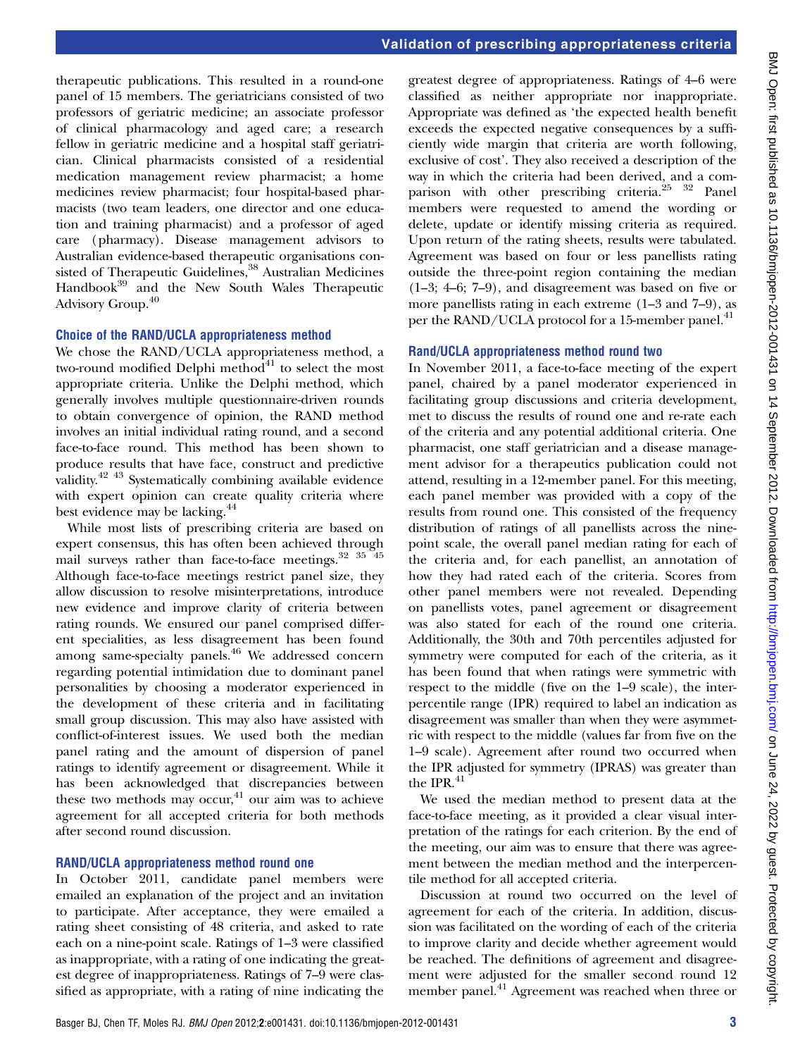therapeutic publications. This resulted in a round-one panel of 15 members. The geriatricians consisted of two professors of geriatric medicine; an associate professor of clinical pharmacology and aged care; a research fellow in geriatric medicine and a hospital staff geriatrician. Clinical pharmacists consisted of a residential medication management review pharmacist; a home medicines review pharmacist; four hospital-based pharmacists (two team leaders, one director and one education and training pharmacist) and a professor of aged care (pharmacy). Disease management advisors to Australian evidence-based therapeutic organisations consisted of Therapeutic Guidelines,<sup>38</sup> Australian Medicines Handbook<sup>39</sup> and the New South Wales Therapeutic Advisory Group.<sup>40</sup>

#### Choice of the RAND/UCLA appropriateness method

We chose the RAND/UCLA appropriateness method, a two-round modified Delphi method $41$  to select the most appropriate criteria. Unlike the Delphi method, which generally involves multiple questionnaire-driven rounds to obtain convergence of opinion, the RAND method involves an initial individual rating round, and a second face-to-face round. This method has been shown to produce results that have face, construct and predictive validity.42 43 Systematically combining available evidence with expert opinion can create quality criteria where best evidence may be lacking.<sup>44</sup>

While most lists of prescribing criteria are based on expert consensus, this has often been achieved through mail surveys rather than face-to-face meetings.<sup>32</sup> <sup>35</sup><sup>45</sup> Although face-to-face meetings restrict panel size, they allow discussion to resolve misinterpretations, introduce new evidence and improve clarity of criteria between rating rounds. We ensured our panel comprised different specialities, as less disagreement has been found among same-specialty panels.<sup>46</sup> We addressed concern regarding potential intimidation due to dominant panel personalities by choosing a moderator experienced in the development of these criteria and in facilitating small group discussion. This may also have assisted with conflict-of-interest issues. We used both the median panel rating and the amount of dispersion of panel ratings to identify agreement or disagreement. While it has been acknowledged that discrepancies between these two methods may occur,<sup>41</sup> our aim was to achieve agreement for all accepted criteria for both methods after second round discussion.

#### RAND/UCLA appropriateness method round one

In October 2011, candidate panel members were emailed an explanation of the project and an invitation to participate. After acceptance, they were emailed a rating sheet consisting of 48 criteria, and asked to rate each on a nine-point scale. Ratings of 1–3 were classified as inappropriate, with a rating of one indicating the greatest degree of inappropriateness. Ratings of 7–9 were classified as appropriate, with a rating of nine indicating the

greatest degree of appropriateness. Ratings of 4–6 were classified as neither appropriate nor inappropriate. Appropriate was defined as 'the expected health benefit exceeds the expected negative consequences by a sufficiently wide margin that criteria are worth following, exclusive of cost'. They also received a description of the way in which the criteria had been derived, and a comparison with other prescribing criteria.<sup>25</sup> <sup>32</sup> Panel members were requested to amend the wording or delete, update or identify missing criteria as required. Upon return of the rating sheets, results were tabulated. Agreement was based on four or less panellists rating outside the three-point region containing the median (1–3; 4–6; 7–9), and disagreement was based on five or more panellists rating in each extreme (1–3 and 7–9), as per the RAND/UCLA protocol for a 15-member panel.<sup>41</sup>

#### Rand/UCLA appropriateness method round two

In November 2011, a face-to-face meeting of the expert panel, chaired by a panel moderator experienced in facilitating group discussions and criteria development, met to discuss the results of round one and re-rate each of the criteria and any potential additional criteria. One pharmacist, one staff geriatrician and a disease management advisor for a therapeutics publication could not attend, resulting in a 12-member panel. For this meeting, each panel member was provided with a copy of the results from round one. This consisted of the frequency distribution of ratings of all panellists across the ninepoint scale, the overall panel median rating for each of the criteria and, for each panellist, an annotation of how they had rated each of the criteria. Scores from other panel members were not revealed. Depending on panellists votes, panel agreement or disagreement was also stated for each of the round one criteria. Additionally, the 30th and 70th percentiles adjusted for symmetry were computed for each of the criteria, as it has been found that when ratings were symmetric with respect to the middle (five on the 1–9 scale), the interpercentile range (IPR) required to label an indication as disagreement was smaller than when they were asymmetric with respect to the middle (values far from five on the 1–9 scale). Agreement after round two occurred when the IPR adjusted for symmetry (IPRAS) was greater than the IPR $^{41}$ 

We used the median method to present data at the face-to-face meeting, as it provided a clear visual interpretation of the ratings for each criterion. By the end of the meeting, our aim was to ensure that there was agreement between the median method and the interpercentile method for all accepted criteria.

Discussion at round two occurred on the level of agreement for each of the criteria. In addition, discussion was facilitated on the wording of each of the criteria to improve clarity and decide whether agreement would be reached. The definitions of agreement and disagreement were adjusted for the smaller second round 12 member panel.<sup>41</sup> Agreement was reached when three or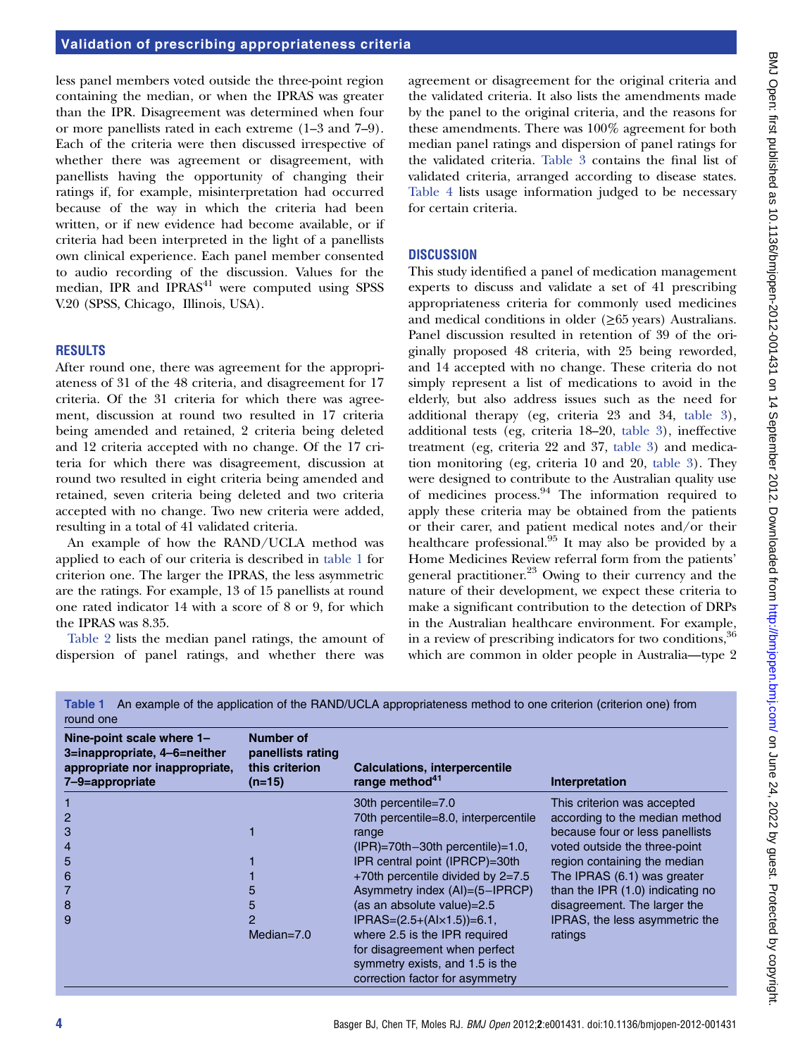less panel members voted outside the three-point region containing the median, or when the IPRAS was greater than the IPR. Disagreement was determined when four or more panellists rated in each extreme (1–3 and 7–9). Each of the criteria were then discussed irrespective of whether there was agreement or disagreement, with panellists having the opportunity of changing their ratings if, for example, misinterpretation had occurred because of the way in which the criteria had been written, or if new evidence had become available, or if criteria had been interpreted in the light of a panellists own clinical experience. Each panel member consented to audio recording of the discussion. Values for the median, IPR and  $IPRAS<sup>41</sup>$  were computed using SPSS V.20 (SPSS, Chicago, Illinois, USA).

#### RESULTS

After round one, there was agreement for the appropriateness of 31 of the 48 criteria, and disagreement for 17 criteria. Of the 31 criteria for which there was agreement, discussion at round two resulted in 17 criteria being amended and retained, 2 criteria being deleted and 12 criteria accepted with no change. Of the 17 criteria for which there was disagreement, discussion at round two resulted in eight criteria being amended and retained, seven criteria being deleted and two criteria accepted with no change. Two new criteria were added, resulting in a total of 41 validated criteria.

An example of how the RAND/UCLA method was applied to each of our criteria is described in table 1 for criterion one. The larger the IPRAS, the less asymmetric are the ratings. For example, 13 of 15 panellists at round one rated indicator 14 with a score of 8 or 9, for which the IPRAS was 8.35.

Table 2 lists the median panel ratings, the amount of dispersion of panel ratings, and whether there was

agreement or disagreement for the original criteria and the validated criteria. It also lists the amendments made by the panel to the original criteria, and the reasons for these amendments. There was 100% agreement for both median panel ratings and dispersion of panel ratings for the validated criteria. Table 3 contains the final list of validated criteria, arranged according to disease states. Table 4 lists usage information judged to be necessary for certain criteria.

#### **DISCUSSION**

This study identified a panel of medication management experts to discuss and validate a set of 41 prescribing appropriateness criteria for commonly used medicines and medical conditions in older  $(\geq 65$  years) Australians. Panel discussion resulted in retention of 39 of the originally proposed 48 criteria, with 25 being reworded, and 14 accepted with no change. These criteria do not simply represent a list of medications to avoid in the elderly, but also address issues such as the need for additional therapy (eg, criteria 23 and 34, table 3), additional tests (eg, criteria 18–20, table 3), ineffective treatment (eg, criteria 22 and 37, table 3) and medication monitoring (eg, criteria 10 and 20, table 3). They were designed to contribute to the Australian quality use of medicines process.<sup>94</sup> The information required to apply these criteria may be obtained from the patients or their carer, and patient medical notes and/or their healthcare professional.<sup>95</sup> It may also be provided by a Home Medicines Review referral form from the patients' general practitioner. $23$  Owing to their currency and the nature of their development, we expect these criteria to make a significant contribution to the detection of DRPs in the Australian healthcare environment. For example, in a review of prescribing indicators for two conditions, <sup>36</sup> which are common in older people in Australia—type 2

| round one                                                                                                      |                                                                   | <b>Table Textile And Example Of the application of the HAND/OCLA appropriateness method to one chienon (chienon one) home</b> |                                  |
|----------------------------------------------------------------------------------------------------------------|-------------------------------------------------------------------|-------------------------------------------------------------------------------------------------------------------------------|----------------------------------|
| Nine-point scale where 1-<br>3=inappropriate, 4-6=neither<br>appropriate nor inappropriate,<br>7-9=appropriate | <b>Number of</b><br>panellists rating<br>this criterion<br>(n=15) | <b>Calculations, interpercentile</b><br>range method <sup>41</sup>                                                            | Interpretation                   |
|                                                                                                                |                                                                   | 30th percentile=7.0                                                                                                           | This criterion was accepted      |
|                                                                                                                |                                                                   | 70th percentile=8.0, interpercentile                                                                                          | according to the median method   |
| 3                                                                                                              |                                                                   | range                                                                                                                         | because four or less panellists  |
|                                                                                                                |                                                                   | $(IPR)=70th-30th$ percentile $=1.0$ ,                                                                                         | voted outside the three-point    |
| 5                                                                                                              |                                                                   | IPR central point (IPRCP)=30th                                                                                                | region containing the median     |
| 6                                                                                                              |                                                                   | $+70$ th percentile divided by 2=7.5                                                                                          | The IPRAS (6.1) was greater      |
|                                                                                                                | 5                                                                 | Asymmetry index (AI)=(5-IPRCP)                                                                                                | than the IPR (1.0) indicating no |
| 8                                                                                                              | 5                                                                 | (as an absolute value)=2.5                                                                                                    | disagreement. The larger the     |
| 9                                                                                                              | 2                                                                 | $IPRAS=(2.5+(A1\times1.5))=6.1$ ,                                                                                             | IPRAS, the less asymmetric the   |
|                                                                                                                | Median= $7.0$                                                     | where 2.5 is the IPR required                                                                                                 | ratings                          |
|                                                                                                                |                                                                   | for disagreement when perfect                                                                                                 |                                  |
|                                                                                                                |                                                                   | symmetry exists, and 1.5 is the                                                                                               |                                  |
|                                                                                                                |                                                                   | correction factor for asymmetry                                                                                               |                                  |

Table 1 An example of the application of the RAND/UCLA appropriateness method to one criterion (criterion one) from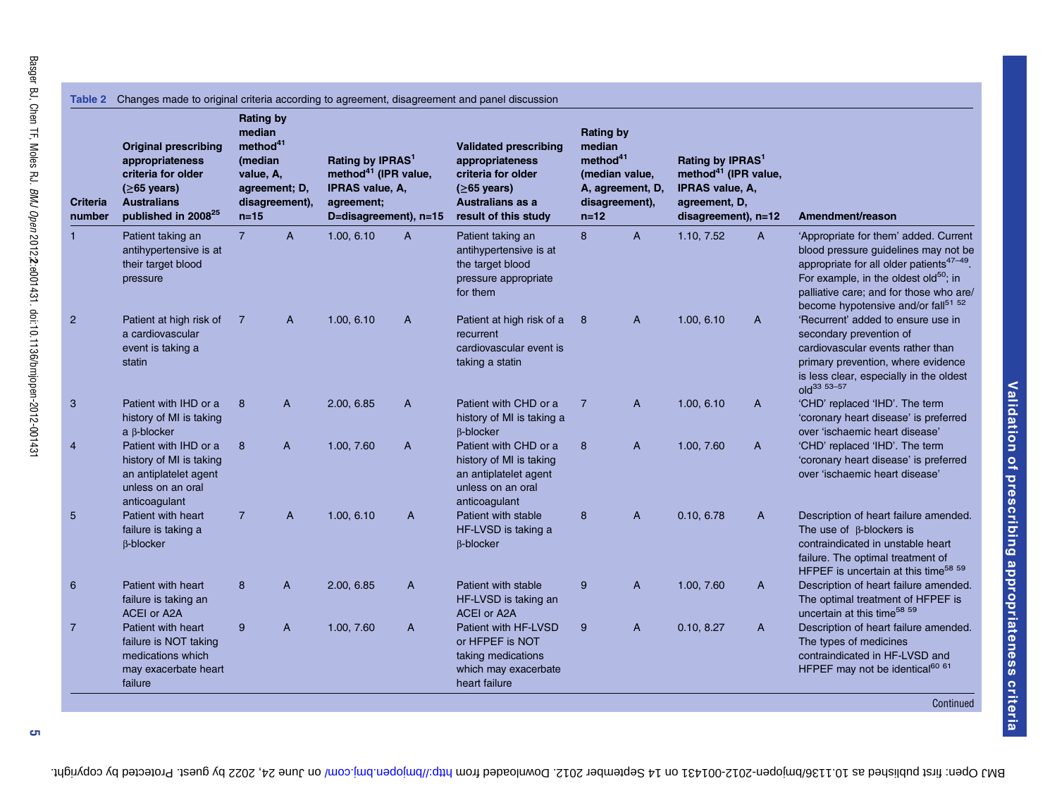| <b>Criteria</b><br>number | <b>Original prescribing</b><br>appropriateness<br>criteria for older<br>$( \ge 65 \text{ years})$<br><b>Australians</b><br>published in 2008 <sup>25</sup> | <b>Rating by</b><br>median<br>method <sup>41</sup><br>(median<br>value, A,<br>agreement; D,<br>$n=15$ | disagreement), | Rating by IPRAS <sup>1</sup><br>method <sup>41</sup> (IPR value,<br>IPRAS value, A,<br>agreement;<br>D=disagreement), n=15 |                | <b>Validated prescribing</b><br>appropriateness<br>criteria for older<br>$(≥65 \text{ years})$<br><b>Australians as a</b><br>result of this study | <b>Rating by</b><br>median<br>method <sup>41</sup><br>$n=12$ | (median value,<br>A, agreement, D,<br>disagreement), | Rating by IPRAS <sup>1</sup><br>method <sup>41</sup> (IPR value,<br>IPRAS value, A,<br>agreement, D,<br>disagreement), n=12 |              | Amendment/reason                                                                                                                                                                                                                                                                 |
|---------------------------|------------------------------------------------------------------------------------------------------------------------------------------------------------|-------------------------------------------------------------------------------------------------------|----------------|----------------------------------------------------------------------------------------------------------------------------|----------------|---------------------------------------------------------------------------------------------------------------------------------------------------|--------------------------------------------------------------|------------------------------------------------------|-----------------------------------------------------------------------------------------------------------------------------|--------------|----------------------------------------------------------------------------------------------------------------------------------------------------------------------------------------------------------------------------------------------------------------------------------|
| $\mathbf{1}$              | Patient taking an<br>antihypertensive is at<br>their target blood<br>pressure                                                                              | $\overline{7}$                                                                                        | $\mathsf{A}$   | 1.00, 6.10                                                                                                                 | $\overline{A}$ | Patient taking an<br>antihypertensive is at<br>the target blood<br>pressure appropriate<br>for them                                               | 8                                                            | $\overline{A}$                                       | 1.10, 7.52                                                                                                                  | $\mathsf{A}$ | 'Appropriate for them' added. Current<br>blood pressure guidelines may not be<br>appropriate for all older patients <sup>47-49</sup> .<br>For example, in the oldest old $50$ ; in<br>palliative care; and for those who are/<br>become hypotensive and/or fall <sup>51 52</sup> |
| $\overline{2}$            | Patient at high risk of<br>a cardiovascular<br>event is taking a<br>statin                                                                                 | 7                                                                                                     | A              | 1.00, 6.10                                                                                                                 | A              | Patient at high risk of a<br>recurrent<br>cardiovascular event is<br>taking a statin                                                              | 8                                                            | $\overline{A}$                                       | 1.00, 6.10                                                                                                                  | A            | 'Recurrent' added to ensure use in<br>secondary prevention of<br>cardiovascular events rather than<br>primary prevention, where evidence<br>is less clear, especially in the oldest<br>old <sup>33</sup> 53-57                                                                   |
| 3                         | Patient with IHD or a<br>history of MI is taking<br>$a \beta$ -blocker                                                                                     | 8                                                                                                     | A              | 2.00, 6.85                                                                                                                 | A              | Patient with CHD or a<br>history of MI is taking a<br><b>B-blocker</b>                                                                            | $\overline{7}$                                               | A                                                    | 1.00, 6.10                                                                                                                  | A            | 'CHD' replaced 'IHD'. The term<br>'coronary heart disease' is preferred<br>over 'ischaemic heart disease'                                                                                                                                                                        |
| 4                         | Patient with IHD or a<br>history of MI is taking<br>an antiplatelet agent<br>unless on an oral<br>anticoagulant                                            | 8                                                                                                     | $\overline{A}$ | 1.00, 7.60                                                                                                                 | A              | Patient with CHD or a<br>history of MI is taking<br>an antiplatelet agent<br>unless on an oral<br>anticoagulant                                   | 8                                                            | $\overline{A}$                                       | 1.00, 7.60                                                                                                                  | A            | 'CHD' replaced 'IHD'. The term<br>'coronary heart disease' is preferred<br>over 'ischaemic heart disease'                                                                                                                                                                        |
| 5                         | Patient with heart<br>failure is taking a<br><b>B-blocker</b>                                                                                              | $\overline{7}$                                                                                        | A              | 1.00, 6.10                                                                                                                 | A              | Patient with stable<br>HF-LVSD is taking a<br><b>B-blocker</b>                                                                                    | 8                                                            | A                                                    | 0.10, 6.78                                                                                                                  | A            | Description of heart failure amended.<br>The use of $\beta$ -blockers is<br>contraindicated in unstable heart<br>failure. The optimal treatment of<br>HFPEF is uncertain at this time <sup>58 59</sup>                                                                           |
| 6                         | Patient with heart<br>failure is taking an<br><b>ACEI or A2A</b>                                                                                           | 8                                                                                                     | A              | 2.00, 6.85                                                                                                                 | A              | Patient with stable<br>HF-LVSD is taking an<br><b>ACEI or A2A</b>                                                                                 | 9                                                            | $\overline{A}$                                       | 1.00, 7.60                                                                                                                  | A            | Description of heart failure amended.<br>The optimal treatment of HFPEF is<br>uncertain at this time <sup>58 59</sup>                                                                                                                                                            |
| $\overline{7}$            | Patient with heart<br>failure is NOT taking<br>medications which<br>may exacerbate heart<br>failure                                                        | 9                                                                                                     | A              | 1.00, 7.60                                                                                                                 | A              | Patient with HF-LVSD<br>or HFPEF is NOT<br>taking medications<br>which may exacerbate<br>heart failure                                            | 9                                                            | $\overline{A}$                                       | 0.10, 8.27                                                                                                                  | A            | Description of heart failure amended.<br>The types of medicines<br>contraindicated in HF-LVSD and<br>HFPEF may not be identical <sup>60 61</sup>                                                                                                                                 |

BMJ Open: first published as 10.11309/open-2002-001431 on 14 September 2012. Downloaded hrom the man open: protected by copyright. Here 24, 2022 by guest. Protected by copyright.

Validation of prescribing appropriateness criteria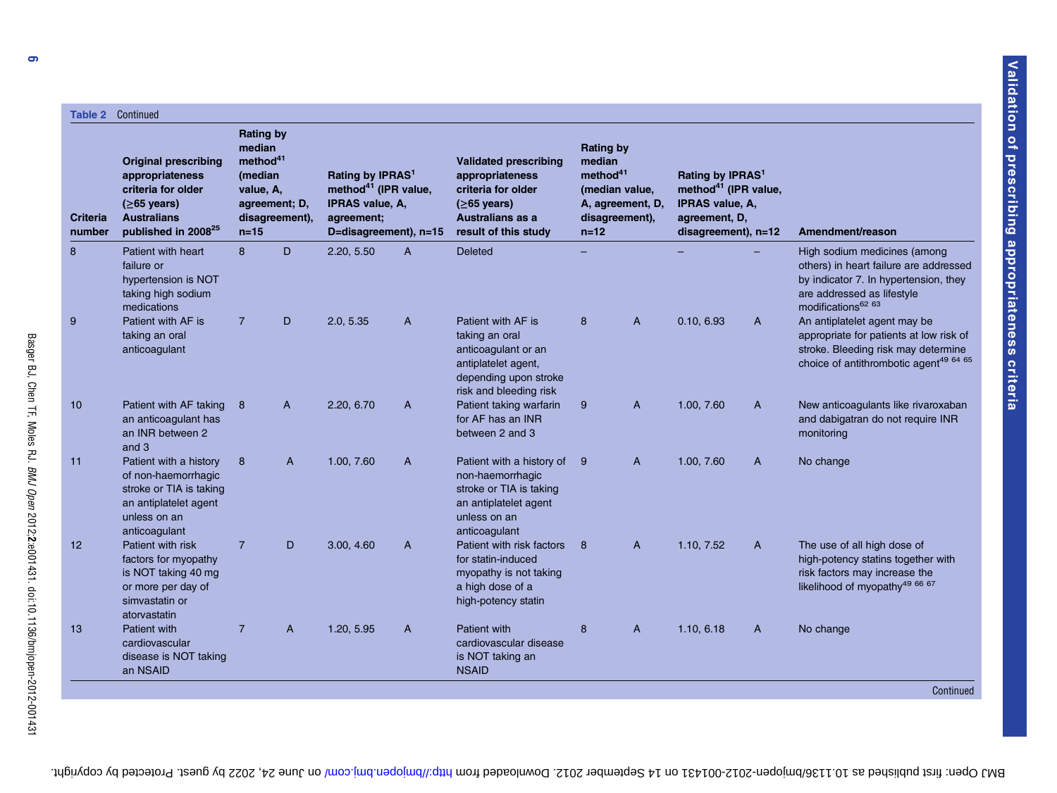|                           | <b>Table 2 Continued</b>                                                                                                                               | <b>Rating by</b>                                                 |                                 |                                                                                                                            |   |                                                                                                                                            |                                                                |                                                      |                                                                                                                             |   |                                                                                                                                                                                 |
|---------------------------|--------------------------------------------------------------------------------------------------------------------------------------------------------|------------------------------------------------------------------|---------------------------------|----------------------------------------------------------------------------------------------------------------------------|---|--------------------------------------------------------------------------------------------------------------------------------------------|----------------------------------------------------------------|------------------------------------------------------|-----------------------------------------------------------------------------------------------------------------------------|---|---------------------------------------------------------------------------------------------------------------------------------------------------------------------------------|
| <b>Criteria</b><br>number | <b>Original prescribing</b><br>appropriateness<br>criteria for older<br>$(≥65 \text{ years})$<br><b>Australians</b><br>published in 2008 <sup>25</sup> | median<br>method <sup>41</sup><br>(median<br>value, A,<br>$n=15$ | agreement; D,<br>disagreement), | Rating by IPRAS <sup>1</sup><br>method <sup>41</sup> (IPR value,<br>IPRAS value, A,<br>agreement;<br>D=disagreement), n=15 |   | <b>Validated prescribing</b><br>appropriateness<br>criteria for older<br>$(≥65 \text{ years})$<br>Australians as a<br>result of this study | <b>Rating by</b><br>median<br>method <sup>41</sup><br>$n = 12$ | (median value,<br>A, agreement, D,<br>disagreement), | Rating by IPRAS <sup>1</sup><br>method <sup>41</sup> (IPR value,<br>IPRAS value, A,<br>agreement, D,<br>disagreement), n=12 |   | Amendment/reason                                                                                                                                                                |
| 8                         | Patient with heart<br>failure or<br>hypertension is NOT<br>taking high sodium<br>medications                                                           | $\mathbf{8}$                                                     | D                               | 2.20, 5.50                                                                                                                 | A | <b>Deleted</b>                                                                                                                             |                                                                |                                                      |                                                                                                                             |   | High sodium medicines (among<br>others) in heart failure are addressed<br>by indicator 7. In hypertension, they<br>are addressed as lifestyle<br>modifications <sup>62 63</sup> |
| 9                         | Patient with AF is<br>taking an oral<br>anticoagulant                                                                                                  | $\overline{7}$                                                   | D                               | 2.0, 5.35                                                                                                                  | A | Patient with AF is<br>taking an oral<br>anticoagulant or an<br>antiplatelet agent,<br>depending upon stroke<br>risk and bleeding risk      | 8                                                              | A                                                    | 0.10, 6.93                                                                                                                  | A | An antiplatelet agent may be<br>appropriate for patients at low risk of<br>stroke. Bleeding risk may determine<br>choice of antithrombotic agent <sup>49 64 65</sup>            |
| 10                        | Patient with AF taking<br>an anticoagulant has<br>an INR between 2<br>and 3                                                                            | 8                                                                | $\mathsf{A}$                    | 2.20, 6.70                                                                                                                 | A | Patient taking warfarin<br>for AF has an INR<br>between 2 and 3                                                                            | 9                                                              | A                                                    | 1.00, 7.60                                                                                                                  | A | New anticoagulants like rivaroxaban<br>and dabigatran do not require INR<br>monitoring                                                                                          |
| 11                        | Patient with a history<br>of non-haemorrhagic<br>stroke or TIA is taking<br>an antiplatelet agent<br>unless on an<br>anticoagulant                     | 8                                                                | A                               | 1.00, 7.60                                                                                                                 | A | Patient with a history of<br>non-haemorrhagic<br>stroke or TIA is taking<br>an antiplatelet agent<br>unless on an<br>anticoagulant         | 9                                                              | A                                                    | 1.00, 7.60                                                                                                                  | A | No change                                                                                                                                                                       |
| 12                        | Patient with risk<br>factors for myopathy<br>is NOT taking 40 mg<br>or more per day of<br>simvastatin or<br>atorvastatin                               | $\overline{7}$                                                   | D                               | 3.00, 4.60                                                                                                                 | A | Patient with risk factors<br>for statin-induced<br>myopathy is not taking<br>a high dose of a<br>high-potency statin                       | 8                                                              | A                                                    | 1.10, 7.52                                                                                                                  | A | The use of all high dose of<br>high-potency statins together with<br>risk factors may increase the<br>likelihood of myopathy <sup>49 66 67</sup>                                |
| 13                        | <b>Patient with</b><br>cardiovascular<br>disease is NOT taking<br>an NSAID                                                                             | $\overline{7}$                                                   | $\mathsf{A}$                    | 1.20, 5.95                                                                                                                 | A | Patient with<br>cardiovascular disease<br>is NOT taking an<br><b>NSAID</b>                                                                 | 8                                                              | A                                                    | 1.10, 6.18                                                                                                                  | A | No change                                                                                                                                                                       |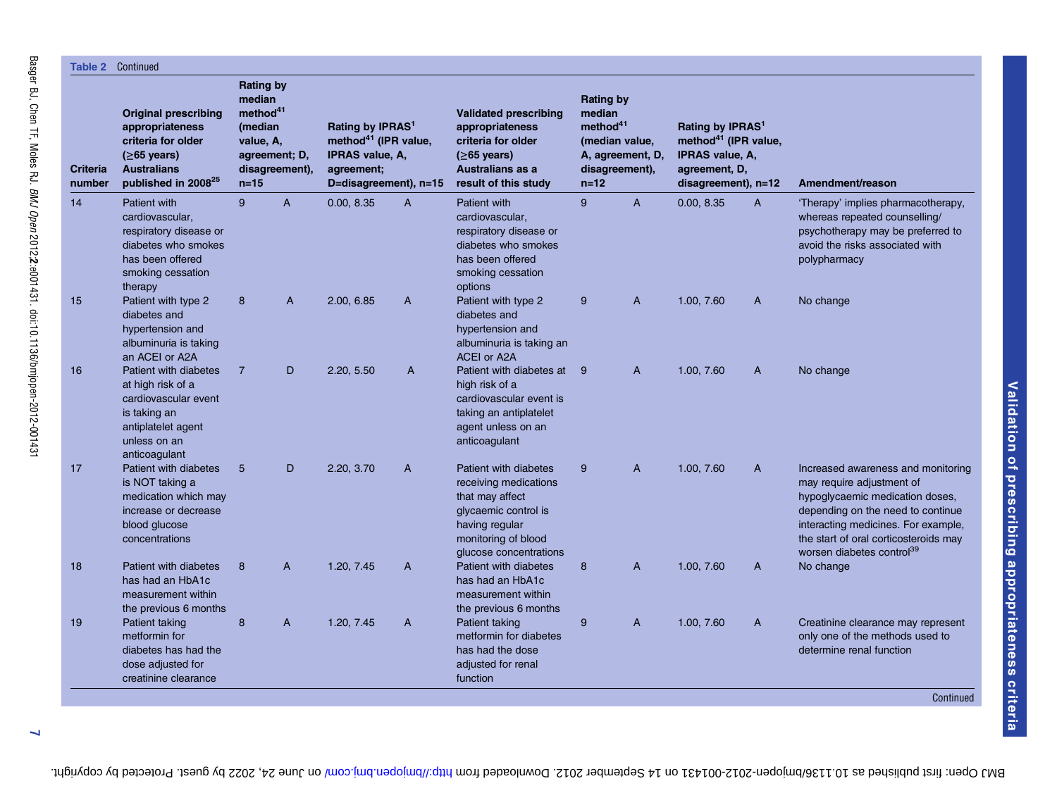| Table 2            | Continued                                                                                                                                              |                                                                                      |                                 |                                                                                                                              |                |                                                                                                                                                              |                                                              |                                                      |                                                                                                                                  |              |                                                                                                                                                                                                                                                                  |
|--------------------|--------------------------------------------------------------------------------------------------------------------------------------------------------|--------------------------------------------------------------------------------------|---------------------------------|------------------------------------------------------------------------------------------------------------------------------|----------------|--------------------------------------------------------------------------------------------------------------------------------------------------------------|--------------------------------------------------------------|------------------------------------------------------|----------------------------------------------------------------------------------------------------------------------------------|--------------|------------------------------------------------------------------------------------------------------------------------------------------------------------------------------------------------------------------------------------------------------------------|
| Criteria<br>number | <b>Original prescribing</b><br>appropriateness<br>criteria for older<br>$(≥65 \text{ years})$<br><b>Australians</b><br>published in 2008 <sup>25</sup> | <b>Rating by</b><br>median<br>method <sup>41</sup><br>(median<br>value, A,<br>$n=15$ | agreement; D,<br>disagreement), | Rating by IPRAS <sup>1</sup><br>method <sup>41</sup> (IPR value,<br>IPRAS value, A,<br>agreement;<br>D=disagreement), $n=15$ |                | <b>Validated prescribing</b><br>appropriateness<br>criteria for older<br>$(≥65 \text{ years})$<br>Australians as a<br>result of this study                   | <b>Rating by</b><br>median<br>method <sup>41</sup><br>$n=12$ | (median value,<br>A, agreement, D,<br>disagreement), | Rating by IPRAS <sup>1</sup><br>method <sup>41</sup> (IPR value,<br>IPRAS value, A,<br>agreement, D,<br>$disagreement)$ , $n=12$ |              | Amendment/reason                                                                                                                                                                                                                                                 |
| 14                 | <b>Patient with</b><br>cardiovascular,<br>respiratory disease or<br>diabetes who smokes<br>has been offered<br>smoking cessation<br>therapy            | $\mathbf{q}$                                                                         | $\overline{A}$                  | 0.00, 8.35                                                                                                                   | A              | <b>Patient with</b><br>cardiovascular,<br>respiratory disease or<br>diabetes who smokes<br>has been offered<br>smoking cessation<br>options                  | 9                                                            | $\overline{A}$                                       | 0.00, 8.35                                                                                                                       | $\mathsf{A}$ | 'Therapy' implies pharmacotherapy,<br>whereas repeated counselling/<br>psychotherapy may be preferred to<br>avoid the risks associated with<br>polypharmacy                                                                                                      |
| 15                 | Patient with type 2<br>diabetes and<br>hypertension and<br>albuminuria is taking<br>an ACEI or A2A                                                     | 8                                                                                    | $\overline{A}$                  | 2.00, 6.85                                                                                                                   | $\overline{A}$ | Patient with type 2<br>diabetes and<br>hypertension and<br>albuminuria is taking an<br>ACEI or A2A                                                           | 9                                                            | $\mathsf{A}$                                         | 1.00, 7.60                                                                                                                       | A            | No change                                                                                                                                                                                                                                                        |
| 16                 | <b>Patient with diabetes</b><br>at high risk of a<br>cardiovascular event<br>is taking an<br>antiplatelet agent<br>unless on an<br>anticoagulant       | $\overline{7}$                                                                       | D                               | 2.20, 5.50                                                                                                                   | $\overline{A}$ | Patient with diabetes at 9<br>high risk of a<br>cardiovascular event is<br>taking an antiplatelet<br>agent unless on an<br>anticoagulant                     |                                                              | $\mathsf{A}$                                         | 1.00, 7.60                                                                                                                       | A            | No change                                                                                                                                                                                                                                                        |
| 17                 | Patient with diabetes<br>is NOT taking a<br>medication which may<br>increase or decrease<br>blood glucose<br>concentrations                            | 5                                                                                    | D                               | 2.20, 3.70                                                                                                                   | A              | Patient with diabetes<br>receiving medications<br>that may affect<br>glycaemic control is<br>having regular<br>monitoring of blood<br>glucose concentrations | 9                                                            | $\mathsf{A}$                                         | 1.00, 7.60                                                                                                                       | A            | Increased awareness and monitoring<br>may require adjustment of<br>hypoglycaemic medication doses,<br>depending on the need to continue<br>interacting medicines. For example,<br>the start of oral corticosteroids may<br>worsen diabetes control <sup>39</sup> |
| 18                 | Patient with diabetes<br>has had an HbA1c<br>measurement within<br>the previous 6 months                                                               | 8                                                                                    | A                               | 1.20, 7.45                                                                                                                   | A              | Patient with diabetes<br>has had an HbA1c<br>measurement within<br>the previous 6 months                                                                     | 8                                                            | $\overline{A}$                                       | 1.00, 7.60                                                                                                                       | A            | No change                                                                                                                                                                                                                                                        |
| 19                 | Patient taking<br>metformin for<br>diabetes has had the<br>dose adjusted for<br>creatinine clearance                                                   | 8                                                                                    | A                               | 1.20, 7.45                                                                                                                   | A              | Patient taking<br>metformin for diabetes<br>has had the dose<br>adjusted for renal<br>function                                                               | $9^{\circ}$                                                  | $\mathsf{A}$                                         | 1.00. 7.60                                                                                                                       | A            | Creatinine clearance may represent<br>only one of the methods used to<br>determine renal function                                                                                                                                                                |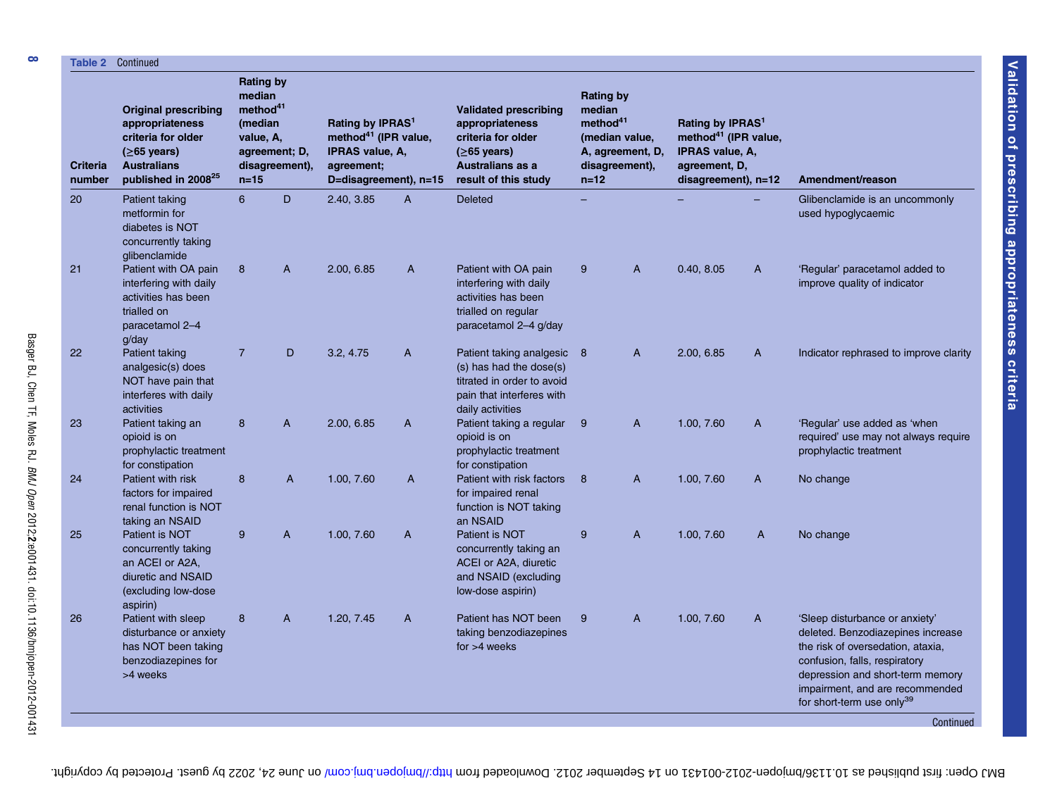| <b>Criteria</b><br>number | <b>Original prescribing</b><br>appropriateness<br>criteria for older<br>$(≥65 \text{ years})$<br><b>Australians</b><br>published in 2008 <sup>25</sup> | <b>Rating by</b><br>median<br>method <sup>41</sup><br>(median<br>value, A,<br>$n = 15$ | agreement; D,<br>disagreement), | Rating by IPRAS <sup>1</sup><br>method <sup>41</sup> (IPR value,<br><b>IPRAS value, A,</b><br>agreement;<br>D=disagreement), n=15 |                | <b>Validated prescribing</b><br>appropriateness<br>criteria for older<br>$(≥65 \text{ years})$<br>Australians as a<br>result of this study | <b>Rating by</b><br>median<br>method <sup>41</sup><br>$n = 12$ | (median value,<br>A, agreement, D,<br>disagreement), | Rating by IPRAS <sup>1</sup><br>method <sup>41</sup> (IPR value,<br><b>IPRAS value, A,</b><br>agreement, D,<br>disagreement), n=12 |                | Amendment/reason                                                                                                                                                                                                                                                       |
|---------------------------|--------------------------------------------------------------------------------------------------------------------------------------------------------|----------------------------------------------------------------------------------------|---------------------------------|-----------------------------------------------------------------------------------------------------------------------------------|----------------|--------------------------------------------------------------------------------------------------------------------------------------------|----------------------------------------------------------------|------------------------------------------------------|------------------------------------------------------------------------------------------------------------------------------------|----------------|------------------------------------------------------------------------------------------------------------------------------------------------------------------------------------------------------------------------------------------------------------------------|
| 20                        | Patient taking<br>metformin for<br>diabetes is NOT<br>concurrently taking                                                                              | 6                                                                                      | D                               | 2.40, 3.85                                                                                                                        | $\overline{A}$ | <b>Deleted</b>                                                                                                                             |                                                                |                                                      |                                                                                                                                    |                | Glibenclamide is an uncommonly<br>used hypoglycaemic                                                                                                                                                                                                                   |
| 21                        | glibenclamide<br>Patient with OA pain<br>interfering with daily<br>activities has been<br>trialled on<br>paracetamol 2-4<br>q/day                      | 8                                                                                      | $\overline{A}$                  | 2.00, 6.85                                                                                                                        | A              | Patient with OA pain<br>interfering with daily<br>activities has been<br>trialled on regular<br>paracetamol 2-4 g/day                      | 9                                                              | A                                                    | 0.40, 8.05                                                                                                                         | A              | 'Regular' paracetamol added to<br>improve quality of indicator                                                                                                                                                                                                         |
| 22                        | Patient taking<br>analgesic(s) does<br>NOT have pain that<br>interferes with daily<br>activities                                                       | $\overline{7}$                                                                         | D                               | 3.2.4.75                                                                                                                          | $\overline{A}$ | Patient taking analgesic 8<br>(s) has had the dose(s)<br>titrated in order to avoid<br>pain that interferes with<br>daily activities       |                                                                | $\overline{A}$                                       | 2.00, 6.85                                                                                                                         | $\overline{A}$ | Indicator rephrased to improve clarity                                                                                                                                                                                                                                 |
| 23                        | Patient taking an<br>opioid is on<br>prophylactic treatment<br>for constipation                                                                        | 8                                                                                      | $\overline{A}$                  | 2.00, 6.85                                                                                                                        | A              | Patient taking a regular<br>opioid is on<br>prophylactic treatment<br>for constipation                                                     | - 9                                                            | A                                                    | 1.00, 7.60                                                                                                                         | $\overline{A}$ | 'Regular' use added as 'when<br>required' use may not always require<br>prophylactic treatment                                                                                                                                                                         |
| 24                        | Patient with risk<br>factors for impaired<br>renal function is NOT<br>taking an NSAID                                                                  | 8                                                                                      | A                               | 1.00, 7.60                                                                                                                        | A              | Patient with risk factors<br>for impaired renal<br>function is NOT taking<br>an NSAID                                                      | 8                                                              | A                                                    | 1.00, 7.60                                                                                                                         | A              | No change                                                                                                                                                                                                                                                              |
| 25                        | Patient is NOT<br>concurrently taking<br>an ACEI or A2A,<br>diuretic and NSAID<br>(excluding low-dose<br>aspirin)                                      | 9                                                                                      | A                               | 1.00, 7.60                                                                                                                        | $\mathsf{A}$   | Patient is NOT<br>concurrently taking an<br>ACEI or A2A, diuretic<br>and NSAID (excluding<br>low-dose aspirin)                             | 9                                                              | A                                                    | 1.00, 7.60                                                                                                                         | A              | No change                                                                                                                                                                                                                                                              |
| 26                        | Patient with sleep<br>disturbance or anxiety<br>has NOT been taking<br>benzodiazepines for<br>>4 weeks                                                 | 8                                                                                      | $\overline{A}$                  | 1.20, 7.45                                                                                                                        | $\mathsf{A}$   | Patient has NOT been<br>taking benzodiazepines<br>for $>4$ weeks                                                                           | 9                                                              | $\overline{A}$                                       | 1.00, 7.60                                                                                                                         | $\mathsf{A}$   | 'Sleep disturbance or anxiety'<br>deleted. Benzodiazepines increase<br>the risk of oversedation, ataxia,<br>confusion, falls, respiratory<br>depression and short-term memory<br>impairment, and are recommended<br>for short-term use only <sup>39</sup><br>Continued |

 $\infty$ 

BMJ Open: first published as 10.11309/open-2002-001431 on 14 September 2012. Downloaded hrom the man open: protected by copyright. Here 24, 2022 by guest. Protected by copyright.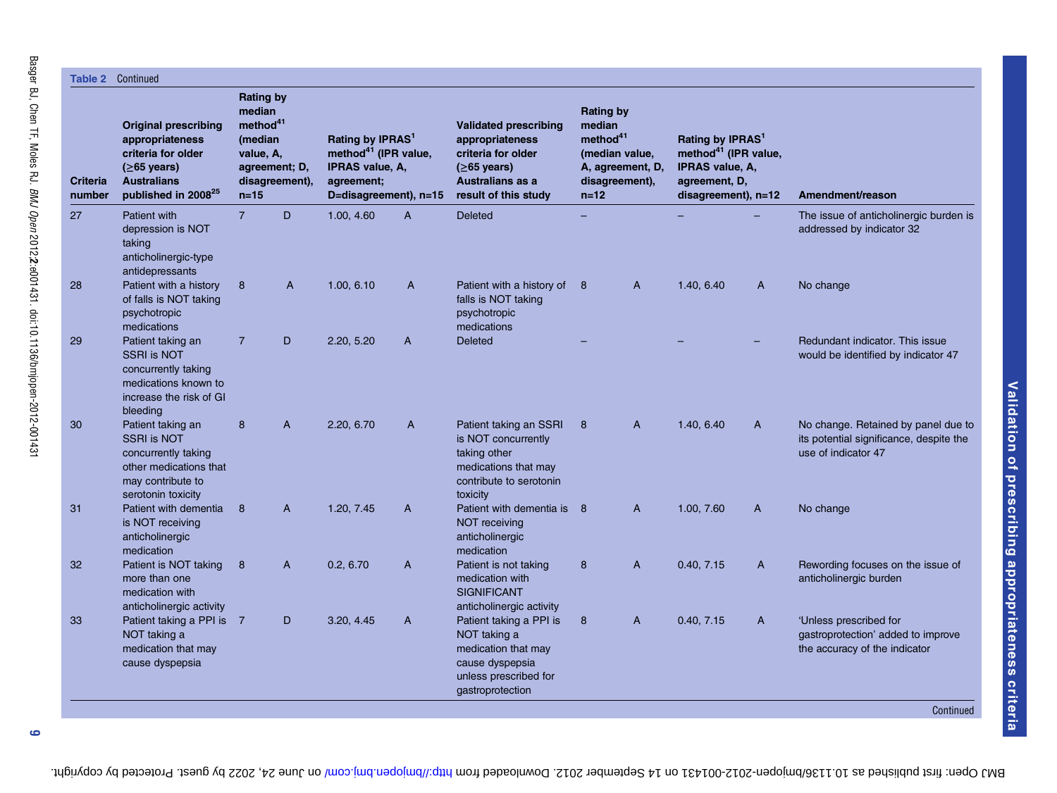| Table 2            | Continued                                                                                                                                              |                                                                                                       |                |                                                                                                                            |                |                                                                                                                                            |                                                                                                                      |              |                                                                                                                             |              |                                                                                                       |
|--------------------|--------------------------------------------------------------------------------------------------------------------------------------------------------|-------------------------------------------------------------------------------------------------------|----------------|----------------------------------------------------------------------------------------------------------------------------|----------------|--------------------------------------------------------------------------------------------------------------------------------------------|----------------------------------------------------------------------------------------------------------------------|--------------|-----------------------------------------------------------------------------------------------------------------------------|--------------|-------------------------------------------------------------------------------------------------------|
| Criteria<br>number | <b>Original prescribing</b><br>appropriateness<br>criteria for older<br>$(≥65 \text{ years})$<br><b>Australians</b><br>published in 2008 <sup>25</sup> | <b>Rating by</b><br>median<br>method <sup>41</sup><br>(median<br>value, A,<br>agreement; D,<br>$n=15$ | disagreement), | Rating by IPRAS <sup>1</sup><br>method <sup>41</sup> (IPR value,<br>IPRAS value, A,<br>agreement;<br>D=disagreement), n=15 |                | <b>Validated prescribing</b><br>appropriateness<br>criteria for older<br>$(≥65 \text{ years})$<br>Australians as a<br>result of this study | <b>Rating by</b><br>median<br>method <sup>41</sup><br>(median value,<br>A, agreement, D,<br>disagreement),<br>$n=12$ |              | Rating by IPRAS <sup>1</sup><br>method <sup>41</sup> (IPR value,<br>IPRAS value, A,<br>agreement, D,<br>disagreement), n=12 |              | Amendment/reason                                                                                      |
| 27                 | Patient with<br>depression is NOT<br>taking<br>anticholinergic-type<br>antidepressants                                                                 | $\overline{7}$                                                                                        | D              | 1.00, 4.60                                                                                                                 | $\overline{A}$ | <b>Deleted</b>                                                                                                                             |                                                                                                                      |              |                                                                                                                             |              | The issue of anticholinergic burden is<br>addressed by indicator 32                                   |
| 28                 | Patient with a history<br>of falls is NOT taking<br>psychotropic<br>medications                                                                        | 8                                                                                                     | $\overline{A}$ | 1.00, 6.10                                                                                                                 | $\mathsf{A}$   | Patient with a history of<br>falls is NOT taking<br>psychotropic<br>medications                                                            | 8                                                                                                                    | $\mathsf{A}$ | 1.40, 6.40                                                                                                                  | $\mathsf{A}$ | No change                                                                                             |
| 29                 | Patient taking an<br><b>SSRI is NOT</b><br>concurrently taking<br>medications known to<br>increase the risk of GI<br>bleeding                          | $\overline{7}$                                                                                        | D              | 2.20, 5.20                                                                                                                 | $\overline{A}$ | <b>Deleted</b>                                                                                                                             |                                                                                                                      |              |                                                                                                                             |              | Redundant indicator. This issue<br>would be identified by indicator 47                                |
| 30                 | Patient taking an<br><b>SSRI is NOT</b><br>concurrently taking<br>other medications that<br>may contribute to<br>serotonin toxicity                    | 8                                                                                                     | $\overline{A}$ | 2.20, 6.70                                                                                                                 | $\mathsf{A}$   | Patient taking an SSRI<br>is NOT concurrently<br>taking other<br>medications that may<br>contribute to serotonin<br>toxicity               | 8                                                                                                                    | $\mathsf{A}$ | 1.40, 6.40                                                                                                                  | A            | No change. Retained by panel due to<br>its potential significance, despite the<br>use of indicator 47 |
| 31                 | Patient with dementia<br>is NOT receiving<br>anticholinergic<br>medication                                                                             | 8                                                                                                     | $\mathsf{A}$   | 1.20, 7.45                                                                                                                 | A              | Patient with dementia is 8<br><b>NOT</b> receiving<br>anticholinergic<br>medication                                                        |                                                                                                                      | $\mathsf{A}$ | 1.00. 7.60                                                                                                                  | A            | No change                                                                                             |
| 32 <sup>2</sup>    | Patient is NOT taking<br>more than one<br>medication with<br>anticholinergic activity                                                                  | 8                                                                                                     | A              | 0.2, 6.70                                                                                                                  | A              | Patient is not taking<br>medication with<br><b>SIGNIFICANT</b><br>anticholinergic activity                                                 | 8                                                                                                                    | A            | 0.40, 7.15                                                                                                                  | A            | Rewording focuses on the issue of<br>anticholinergic burden                                           |
| 33                 | Patient taking a PPI is 7<br>NOT taking a<br>medication that may<br>cause dyspepsia                                                                    |                                                                                                       | D              | 3.20, 4.45                                                                                                                 | A              | Patient taking a PPI is<br>NOT taking a<br>medication that may<br>cause dyspepsia<br>unless prescribed for<br>gastroprotection             | 8                                                                                                                    | $\mathsf{A}$ | 0.40, 7.15                                                                                                                  | A            | 'Unless prescribed for<br>gastroprotection' added to improve<br>the accuracy of the indicator         |
|                    |                                                                                                                                                        |                                                                                                       |                |                                                                                                                            |                |                                                                                                                                            |                                                                                                                      |              |                                                                                                                             |              | Continued                                                                                             |

BMJ Open: first published as 10.11309/open-2002-001431 on 14 September 2012. Downloaded hrom the man open: protected by copyright. Here 24, 2022 by guest. Protected by copyright.

Validation of prescribing appropriateness criteria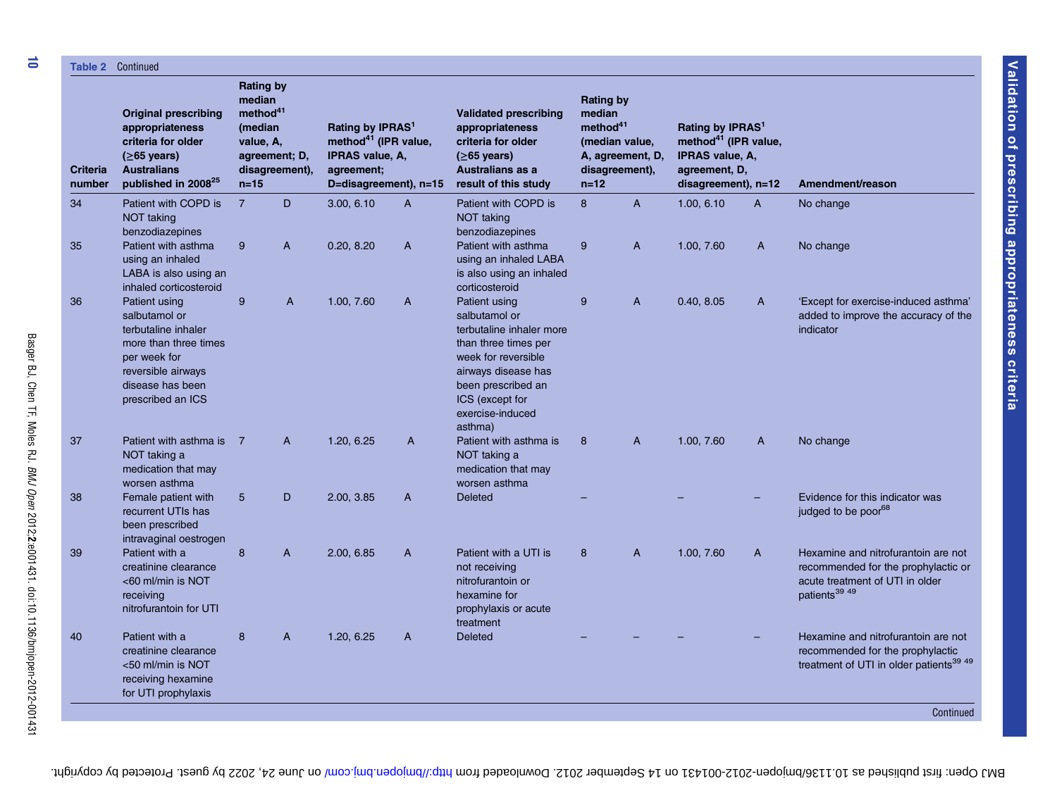| Table 2                   | Continued                                                                                                                                                     |                                                                                      |                                 |                                                                                                                            |              |                                                                                                                                                                                                          |                                                                |                                                      |                                                                                                                                    |              |                                                                                                                                            |
|---------------------------|---------------------------------------------------------------------------------------------------------------------------------------------------------------|--------------------------------------------------------------------------------------|---------------------------------|----------------------------------------------------------------------------------------------------------------------------|--------------|----------------------------------------------------------------------------------------------------------------------------------------------------------------------------------------------------------|----------------------------------------------------------------|------------------------------------------------------|------------------------------------------------------------------------------------------------------------------------------------|--------------|--------------------------------------------------------------------------------------------------------------------------------------------|
| <b>Criteria</b><br>number | <b>Original prescribing</b><br>appropriateness<br>criteria for older<br>$(≥65 \text{ years})$<br><b>Australians</b><br>published in 2008 <sup>25</sup>        | <b>Rating by</b><br>median<br>method <sup>41</sup><br>(median<br>value, A,<br>$n=15$ | agreement; D,<br>disagreement), | Rating by IPRAS <sup>1</sup><br>method <sup>41</sup> (IPR value,<br>IPRAS value, A,<br>agreement;<br>D=disagreement), n=15 |              | <b>Validated prescribing</b><br>appropriateness<br>criteria for older<br>$(≥65 \text{ years})$<br>Australians as a<br>result of this study                                                               | <b>Rating by</b><br>median<br>method <sup>41</sup><br>$n = 12$ | (median value,<br>A, agreement, D,<br>disagreement), | Rating by IPRAS <sup>1</sup><br>method <sup>41</sup> (IPR value,<br><b>IPRAS value, A.</b><br>agreement, D,<br>disagreement), n=12 |              | Amendment/reason                                                                                                                           |
| 34                        | Patient with COPD is<br><b>NOT taking</b><br>benzodiazepines                                                                                                  | $\overline{7}$                                                                       | D                               | 3.00, 6.10                                                                                                                 | $\mathsf{A}$ | Patient with COPD is<br>NOT taking<br>benzodiazepines                                                                                                                                                    | 8                                                              | $\overline{A}$                                       | 1.00, 6.10                                                                                                                         | $\mathsf{A}$ | No change                                                                                                                                  |
| 35                        | Patient with asthma<br>using an inhaled<br>LABA is also using an<br>inhaled corticosteroid                                                                    | 9                                                                                    | A                               | 0.20, 8.20                                                                                                                 | A            | Patient with asthma<br>using an inhaled LABA<br>is also using an inhaled<br>corticosteroid                                                                                                               | 9                                                              | A                                                    | 1.00, 7.60                                                                                                                         | A            | No change                                                                                                                                  |
| 36                        | Patient using<br>salbutamol or<br>terbutaline inhaler<br>more than three times<br>per week for<br>reversible airways<br>disease has been<br>prescribed an ICS | 9                                                                                    | A                               | 1.00, 7.60                                                                                                                 | A            | Patient using<br>salbutamol or<br>terbutaline inhaler more<br>than three times per<br>week for reversible<br>airways disease has<br>been prescribed an<br>ICS (except for<br>exercise-induced<br>asthma) | 9                                                              | A                                                    | 0.40, 8.05                                                                                                                         | $\mathsf{A}$ | 'Except for exercise-induced asthma'<br>added to improve the accuracy of the<br>indicator                                                  |
| 37                        | Patient with asthma is 7<br>NOT taking a<br>medication that may<br>worsen asthma                                                                              |                                                                                      | $\mathsf{A}$                    | 1.20, 6.25                                                                                                                 | A            | Patient with asthma is<br>NOT taking a<br>medication that may<br>worsen asthma                                                                                                                           | 8                                                              | $\overline{A}$                                       | 1.00, 7.60                                                                                                                         | $\mathsf{A}$ | No change                                                                                                                                  |
| 38                        | Female patient with<br>recurrent UTIs has<br>been prescribed<br>intravaginal oestrogen                                                                        | $5\phantom{1}$                                                                       | D                               | 2.00, 3.85                                                                                                                 | $\mathsf{A}$ | <b>Deleted</b>                                                                                                                                                                                           |                                                                |                                                      |                                                                                                                                    |              | Evidence for this indicator was<br>judged to be poor <sup>68</sup>                                                                         |
| 39                        | Patient with a<br>creatinine clearance<br><60 ml/min is NOT<br>receiving<br>nitrofurantoin for UTI                                                            | 8                                                                                    | A                               | 2.00, 6.85                                                                                                                 | A            | Patient with a UTI is<br>not receiving<br>nitrofurantoin or<br>hexamine for<br>prophylaxis or acute<br>treatment                                                                                         | 8                                                              | A                                                    | 1.00, 7.60                                                                                                                         | A            | Hexamine and nitrofurantoin are not<br>recommended for the prophylactic or<br>acute treatment of UTI in older<br>patients <sup>39 49</sup> |
| 40                        | Patient with a<br>creatinine clearance<br><50 ml/min is NOT<br>receiving hexamine<br>for UTI prophylaxis                                                      | 8                                                                                    | A                               | 1.20, 6.25                                                                                                                 | A            | Deleted                                                                                                                                                                                                  |                                                                |                                                      |                                                                                                                                    |              | Hexamine and nitrofurantoin are not<br>recommended for the prophylactic<br>treatment of UTI in older patients <sup>39 49</sup>             |
|                           |                                                                                                                                                               |                                                                                      |                                 |                                                                                                                            |              |                                                                                                                                                                                                          |                                                                |                                                      |                                                                                                                                    |              | Continued                                                                                                                                  |

Basger BJ, Chen TF, Moles RJ.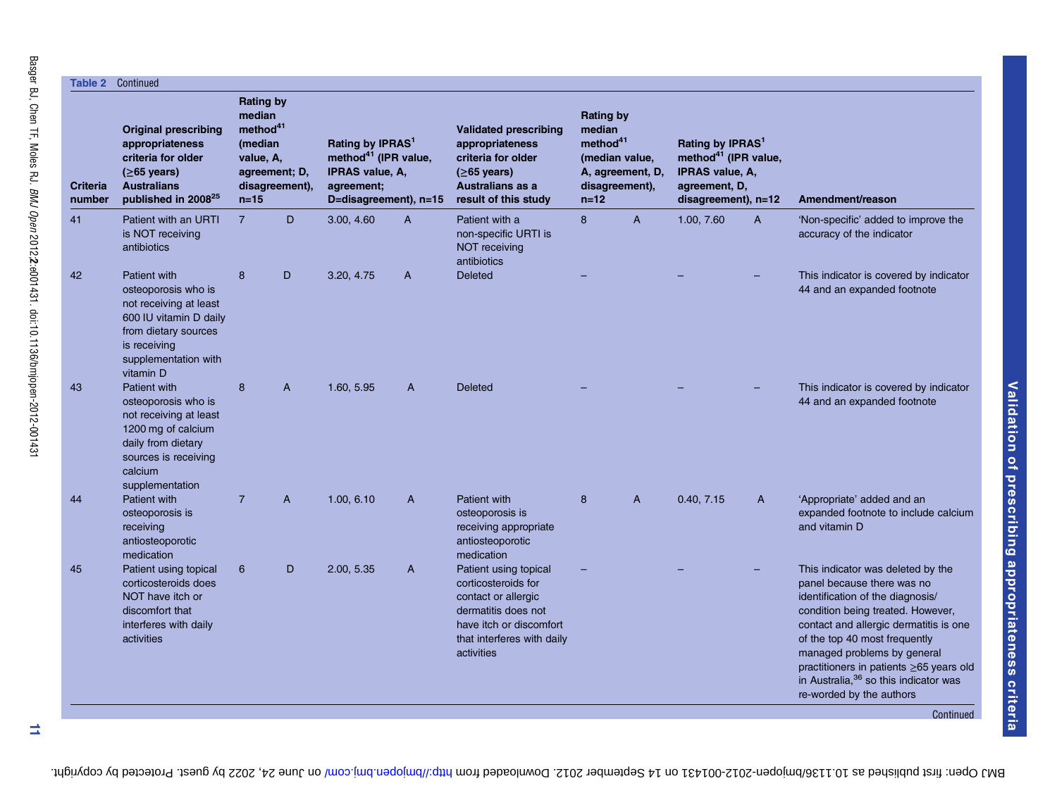|                           | <b>Original prescribing</b><br>appropriateness                                                                                                                       | <b>Rating by</b><br>median                                              |                |                                                                                                                            |              |                                                                                                                                                                   |                                                                                                                      |              |                                                                                                                             |   |                                                                                                                                                                                                                                                                                                                                                                     |
|---------------------------|----------------------------------------------------------------------------------------------------------------------------------------------------------------------|-------------------------------------------------------------------------|----------------|----------------------------------------------------------------------------------------------------------------------------|--------------|-------------------------------------------------------------------------------------------------------------------------------------------------------------------|----------------------------------------------------------------------------------------------------------------------|--------------|-----------------------------------------------------------------------------------------------------------------------------|---|---------------------------------------------------------------------------------------------------------------------------------------------------------------------------------------------------------------------------------------------------------------------------------------------------------------------------------------------------------------------|
| <b>Criteria</b><br>number | criteria for older<br>$(≥65 \text{ years})$<br><b>Australians</b><br>published in 2008 <sup>25</sup>                                                                 | method <sup>41</sup><br>(median<br>value, A,<br>agreement; D,<br>$n=15$ | disagreement), | Rating by IPRAS <sup>1</sup><br>method <sup>41</sup> (IPR value,<br>IPRAS value, A,<br>agreement:<br>D=disagreement), n=15 |              | <b>Validated prescribing</b><br>appropriateness<br>criteria for older<br>$(≥65 \text{ years})$<br><b>Australians as a</b><br>result of this study                 | <b>Rating by</b><br>median<br>method <sup>41</sup><br>(median value,<br>A, agreement, D,<br>disagreement),<br>$n=12$ |              | Rating by IPRAS <sup>1</sup><br>method <sup>41</sup> (IPR value,<br>IPRAS value, A,<br>agreement, D,<br>disagreement), n=12 |   | Amendment/reason                                                                                                                                                                                                                                                                                                                                                    |
| 41                        | Patient with an URTI<br>is NOT receiving<br>antibiotics                                                                                                              | $\overline{7}$                                                          | D              | 3.00, 4.60                                                                                                                 | A            | Patient with a<br>non-specific URTI is<br>NOT receiving<br>antibiotics                                                                                            | 8                                                                                                                    | $\mathsf{A}$ | 1.00, 7.60                                                                                                                  | A | 'Non-specific' added to improve the<br>accuracy of the indicator                                                                                                                                                                                                                                                                                                    |
| 42                        | Patient with<br>osteoporosis who is<br>not receiving at least<br>600 IU vitamin D daily<br>from dietary sources<br>is receiving<br>supplementation with<br>vitamin D | 8                                                                       | D              | 3.20, 4.75                                                                                                                 | A            | <b>Deleted</b>                                                                                                                                                    |                                                                                                                      |              |                                                                                                                             |   | This indicator is covered by indicator<br>44 and an expanded footnote                                                                                                                                                                                                                                                                                               |
| 43                        | Patient with<br>osteoporosis who is<br>not receiving at least<br>1200 mg of calcium<br>daily from dietary<br>sources is receiving<br>calcium<br>supplementation      | 8                                                                       | A              | 1.60, 5.95                                                                                                                 | $\mathsf{A}$ | <b>Deleted</b>                                                                                                                                                    |                                                                                                                      |              |                                                                                                                             |   | This indicator is covered by indicator<br>44 and an expanded footnote                                                                                                                                                                                                                                                                                               |
| 44                        | <b>Patient with</b><br>osteoporosis is<br>receiving<br>antiosteoporotic<br>medication                                                                                | $\overline{7}$                                                          | A              | 1.00, 6.10                                                                                                                 | A            | Patient with<br>osteoporosis is<br>receiving appropriate<br>antiosteoporotic<br>medication                                                                        | 8                                                                                                                    | A            | 0.40, 7.15                                                                                                                  | A | 'Appropriate' added and an<br>expanded footnote to include calcium<br>and vitamin D                                                                                                                                                                                                                                                                                 |
| 45                        | Patient using topical<br>corticosteroids does<br>NOT have itch or<br>discomfort that<br>interferes with daily<br>activities                                          | 6                                                                       | D              | 2.00, 5.35                                                                                                                 | A            | Patient using topical<br>corticosteroids for<br>contact or allergic<br>dermatitis does not<br>have itch or discomfort<br>that interferes with daily<br>activities |                                                                                                                      |              |                                                                                                                             |   | This indicator was deleted by the<br>panel because there was no<br>identification of the diagnosis/<br>condition being treated. However,<br>contact and allergic dermatitis is one<br>of the top 40 most frequently<br>managed problems by general<br>practitioners in patients ≥65 years old<br>in Australia, 36 so this indicator was<br>re-worded by the authors |

 $\equiv$ 

BMJ Open: first published as 10.11309/open-2002-001431 on 14 September 2012. Downloaded hrom the man open: protected by copyright. Here 24, 2022 by guest. Protected by copyright.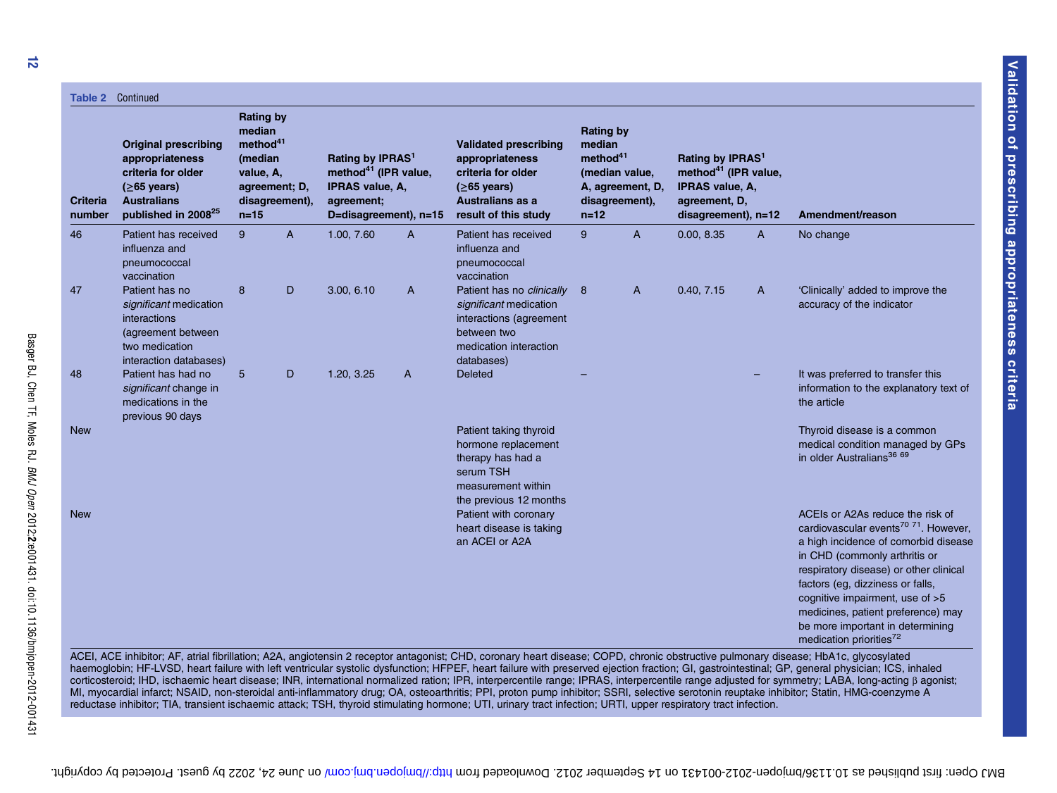|                           | <b>Table 2 Continued</b>                                                                                                                               |                                                                                        |                                 |                                                                                                                                   |                |                                                                                                                                            |                                                                |                                                      |                                                                                                                                    |              |                                                                                                                                                                                                                                                                                                                                                                                                             |
|---------------------------|--------------------------------------------------------------------------------------------------------------------------------------------------------|----------------------------------------------------------------------------------------|---------------------------------|-----------------------------------------------------------------------------------------------------------------------------------|----------------|--------------------------------------------------------------------------------------------------------------------------------------------|----------------------------------------------------------------|------------------------------------------------------|------------------------------------------------------------------------------------------------------------------------------------|--------------|-------------------------------------------------------------------------------------------------------------------------------------------------------------------------------------------------------------------------------------------------------------------------------------------------------------------------------------------------------------------------------------------------------------|
| <b>Criteria</b><br>number | <b>Original prescribing</b><br>appropriateness<br>criteria for older<br>$(≥65 \text{ years})$<br><b>Australians</b><br>published in 2008 <sup>25</sup> | <b>Rating by</b><br>median<br>method <sup>41</sup><br>(median<br>value, A,<br>$n = 15$ | agreement; D,<br>disagreement), | Rating by IPRAS <sup>1</sup><br>method <sup>41</sup> (IPR value,<br><b>IPRAS value, A.</b><br>agreement;<br>D=disagreement), n=15 |                | <b>Validated prescribing</b><br>appropriateness<br>criteria for older<br>$(≥65 \text{ years})$<br>Australians as a<br>result of this study | <b>Rating by</b><br>median<br>method <sup>41</sup><br>$n = 12$ | (median value,<br>A, agreement, D,<br>disagreement), | Rating by IPRAS <sup>1</sup><br>method <sup>41</sup> (IPR value,<br><b>IPRAS value, A,</b><br>agreement, D,<br>disagreement), n=12 |              | Amendment/reason                                                                                                                                                                                                                                                                                                                                                                                            |
| 46                        | Patient has received<br>influenza and<br>pneumococcal<br>vaccination                                                                                   | 9                                                                                      | $\overline{A}$                  | 1.00, 7.60                                                                                                                        | $\overline{A}$ | Patient has received<br>influenza and<br>pneumococcal<br>vaccination                                                                       | 9                                                              | $\overline{A}$                                       | 0.00, 8.35                                                                                                                         | $\mathsf{A}$ | No change                                                                                                                                                                                                                                                                                                                                                                                                   |
| 47                        | Patient has no<br>significant medication<br>interactions<br>(agreement between<br>two medication<br>interaction databases)                             | 8                                                                                      | D                               | 3.00, 6.10                                                                                                                        | A              | Patient has no clinically 8<br>significant medication<br>interactions (agreement<br>between two<br>medication interaction<br>databases)    |                                                                | A                                                    | 0.40, 7.15                                                                                                                         | $\mathsf{A}$ | 'Clinically' added to improve the<br>accuracy of the indicator                                                                                                                                                                                                                                                                                                                                              |
| 48                        | Patient has had no<br>significant change in<br>medications in the<br>previous 90 days                                                                  | 5                                                                                      | D                               | 1.20, 3.25                                                                                                                        | A              | <b>Deleted</b>                                                                                                                             |                                                                |                                                      |                                                                                                                                    |              | It was preferred to transfer this<br>information to the explanatory text of<br>the article                                                                                                                                                                                                                                                                                                                  |
| <b>New</b>                |                                                                                                                                                        |                                                                                        |                                 |                                                                                                                                   |                | Patient taking thyroid<br>hormone replacement<br>therapy has had a<br>serum TSH<br>measurement within<br>the previous 12 months            |                                                                |                                                      |                                                                                                                                    |              | Thyroid disease is a common<br>medical condition managed by GPs<br>in older Australians <sup>36 69</sup>                                                                                                                                                                                                                                                                                                    |
| <b>New</b>                |                                                                                                                                                        |                                                                                        |                                 |                                                                                                                                   |                | Patient with coronary<br>heart disease is taking<br>an ACEI or A2A                                                                         |                                                                |                                                      |                                                                                                                                    |              | ACEIs or A2As reduce the risk of<br>cardiovascular events <sup>70</sup> <sup>71</sup> . However,<br>a high incidence of comorbid disease<br>in CHD (commonly arthritis or<br>respiratory disease) or other clinical<br>factors (eg, dizziness or falls,<br>cognitive impairment, use of >5<br>medicines, patient preference) may<br>be more important in determining<br>medication priorities <sup>72</sup> |

ACEI, ACE inhibitor; AF, atrial fibrillation; A2A, angiotensin 2 receptor antagonist; CHD, coronary heart disease; COPD, chronic obstructive pulmonary disease; HbA1c, glycosylated haemoglobin; HF-LVSD, heart failure with left ventricular systolic dysfunction; HFPEF, heart failure with preserved ejection fraction; GI, gastrointestinal; GP, general physician; ICS, inhaled corticosteroid; IHD, ischaemic heart disease; INR, international normalized ration; IPR, interpercentile range; IPRAS, interpercentile range adjusted for symmetry; LABA, long-acting β agonist; MI, myocardial infarct; NSAID, non-steroidal anti-inflammatory drug; OA, osteoarthritis; PPI, proton pump inhibitor; SSRI, selective serotonin reuptake inhibitor; Statin, HMG-coenzyme A reductase inhibitor; TIA, transient ischaemic attack; TSH, thyroid stimulating hormone; UTI, urinary tract infection; URTI, upper respiratory tract infection.

Basger BJ, Chen TF, Moles RJ.

Basger BJ, Chen TF, Moles RJ. *BMJ Open 2012;2*:e001431. doi:10.1136/bmjppen-2012-00143

2012;2:e001431. doi:10.1136/bmjopen-2012-001431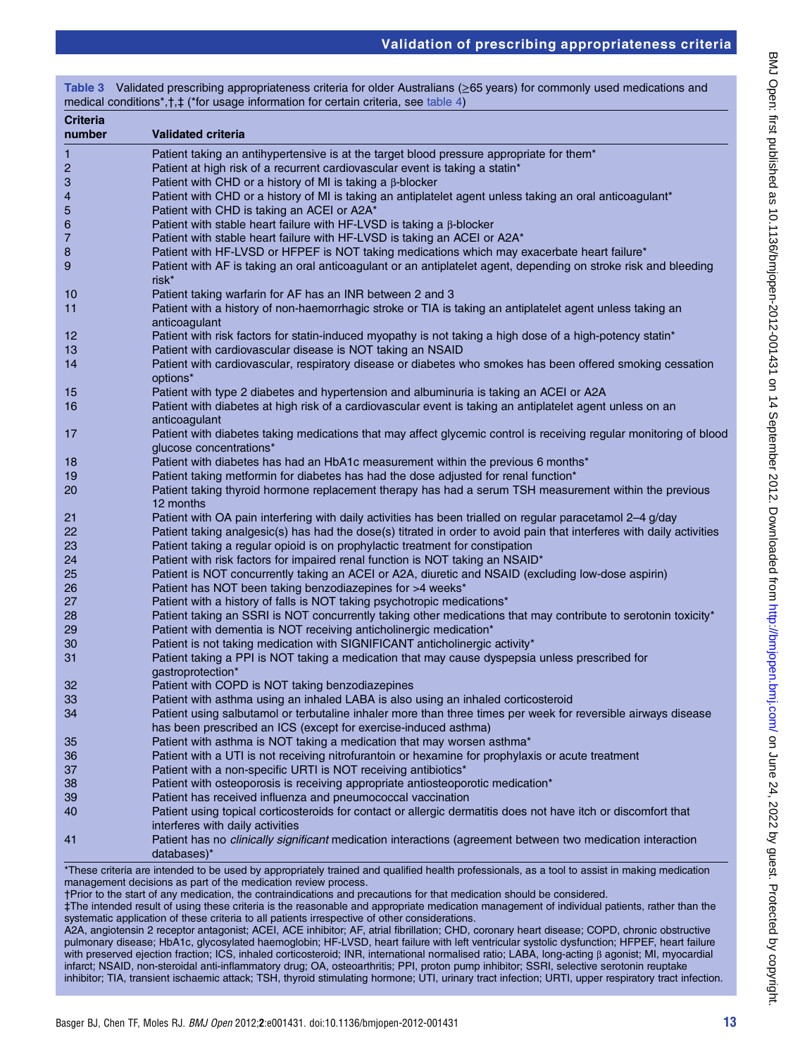| <b>Criteria</b><br>number | <b>Validated criteria</b>                                                                                                                                                        |
|---------------------------|----------------------------------------------------------------------------------------------------------------------------------------------------------------------------------|
| $\mathbf{1}$              |                                                                                                                                                                                  |
|                           | Patient taking an antihypertensive is at the target blood pressure appropriate for them*                                                                                         |
| $\overline{c}$<br>3       | Patient at high risk of a recurrent cardiovascular event is taking a statin*<br>Patient with CHD or a history of MI is taking a $\beta$ -blocker                                 |
| 4                         | Patient with CHD or a history of MI is taking an antiplatelet agent unless taking an oral anticoagulant*                                                                         |
| 5                         | Patient with CHD is taking an ACEI or A2A*                                                                                                                                       |
| 6                         | Patient with stable heart failure with HF-LVSD is taking a $\beta$ -blocker                                                                                                      |
| 7                         | Patient with stable heart failure with HF-LVSD is taking an ACEI or A2A*                                                                                                         |
| 8                         | Patient with HF-LVSD or HFPEF is NOT taking medications which may exacerbate heart failure*                                                                                      |
| 9                         | Patient with AF is taking an oral anticoagulant or an antiplatelet agent, depending on stroke risk and bleeding<br>risk*                                                         |
| 10                        | Patient taking warfarin for AF has an INR between 2 and 3                                                                                                                        |
| 11                        | Patient with a history of non-haemorrhagic stroke or TIA is taking an antiplatelet agent unless taking an                                                                        |
|                           | anticoagulant                                                                                                                                                                    |
| 12                        | Patient with risk factors for statin-induced myopathy is not taking a high dose of a high-potency statin*                                                                        |
| 13                        | Patient with cardiovascular disease is NOT taking an NSAID                                                                                                                       |
| 14                        | Patient with cardiovascular, respiratory disease or diabetes who smokes has been offered smoking cessation<br>options*                                                           |
| 15                        | Patient with type 2 diabetes and hypertension and albuminuria is taking an ACEI or A2A                                                                                           |
| 16                        | Patient with diabetes at high risk of a cardiovascular event is taking an antiplatelet agent unless on an<br>anticoagulant                                                       |
| 17                        | Patient with diabetes taking medications that may affect glycemic control is receiving regular monitoring of blood<br>glucose concentrations*                                    |
| 18                        | Patient with diabetes has had an HbA1c measurement within the previous 6 months*                                                                                                 |
| 19                        | Patient taking metformin for diabetes has had the dose adjusted for renal function*                                                                                              |
| 20                        | Patient taking thyroid hormone replacement therapy has had a serum TSH measurement within the previous<br>12 months                                                              |
| 21                        | Patient with OA pain interfering with daily activities has been trialled on regular paracetamol 2-4 g/day                                                                        |
| 22                        | Patient taking analgesic(s) has had the dose(s) titrated in order to avoid pain that interferes with daily activities                                                            |
| 23                        | Patient taking a regular opioid is on prophylactic treatment for constipation                                                                                                    |
| 24                        | Patient with risk factors for impaired renal function is NOT taking an NSAID*                                                                                                    |
| 25                        | Patient is NOT concurrently taking an ACEI or A2A, diuretic and NSAID (excluding low-dose aspirin)                                                                               |
| 26                        | Patient has NOT been taking benzodiazepines for >4 weeks*                                                                                                                        |
| 27                        | Patient with a history of falls is NOT taking psychotropic medications*                                                                                                          |
| 28                        | Patient taking an SSRI is NOT concurrently taking other medications that may contribute to serotonin toxicity*                                                                   |
| 29                        | Patient with dementia is NOT receiving anticholinergic medication*                                                                                                               |
| 30                        | Patient is not taking medication with SIGNIFICANT anticholinergic activity*                                                                                                      |
| 31                        | Patient taking a PPI is NOT taking a medication that may cause dyspepsia unless prescribed for<br>gastroprotection*                                                              |
| 32                        | Patient with COPD is NOT taking benzodiazepines                                                                                                                                  |
| 33                        | Patient with asthma using an inhaled LABA is also using an inhaled corticosteroid                                                                                                |
| 34                        | Patient using salbutamol or terbutaline inhaler more than three times per week for reversible airways disease<br>has been prescribed an ICS (except for exercise-induced asthma) |
| 35                        | Patient with asthma is NOT taking a medication that may worsen asthma*                                                                                                           |
| 36                        | Patient with a UTI is not receiving nitrofurantoin or hexamine for prophylaxis or acute treatment                                                                                |
| 37                        | Patient with a non-specific URTI is NOT receiving antibiotics*                                                                                                                   |
| 38                        | Patient with osteoporosis is receiving appropriate antiosteoporotic medication*                                                                                                  |
| 39                        | Patient has received influenza and pneumococcal vaccination                                                                                                                      |
| 40                        | Patient using topical corticosteroids for contact or allergic dermatitis does not have itch or discomfort that                                                                   |
|                           | interferes with daily activities                                                                                                                                                 |
| 41                        | Patient has no <i>clinically significant</i> medication interactions (agreement between two medication interaction<br>databases)*                                                |

A2A, angiotensin 2 receptor antagonist; ACEI, ACE inhibitor; AF, atrial fibrillation; CHD, coronary heart disease; COPD, chronic obstructive pulmonary disease; HbA1c, glycosylated haemoglobin; HF-LVSD, heart failure with left ventricular systolic dysfunction; HFPEF, heart failure with preserved ejection fraction; ICS, inhaled corticosteroid; INR, international normalised ratio; LABA, long-acting β agonist; MI, myocardial infarct; NSAID, non-steroidal anti-inflammatory drug; OA, osteoarthritis; PPI, proton pump inhibitor; SSRI, selective serotonin reuptake inhibitor; TIA, transient ischaemic attack; TSH, thyroid stimulating hormone; UTI, urinary tract infection; URTI, upper respiratory tract infection.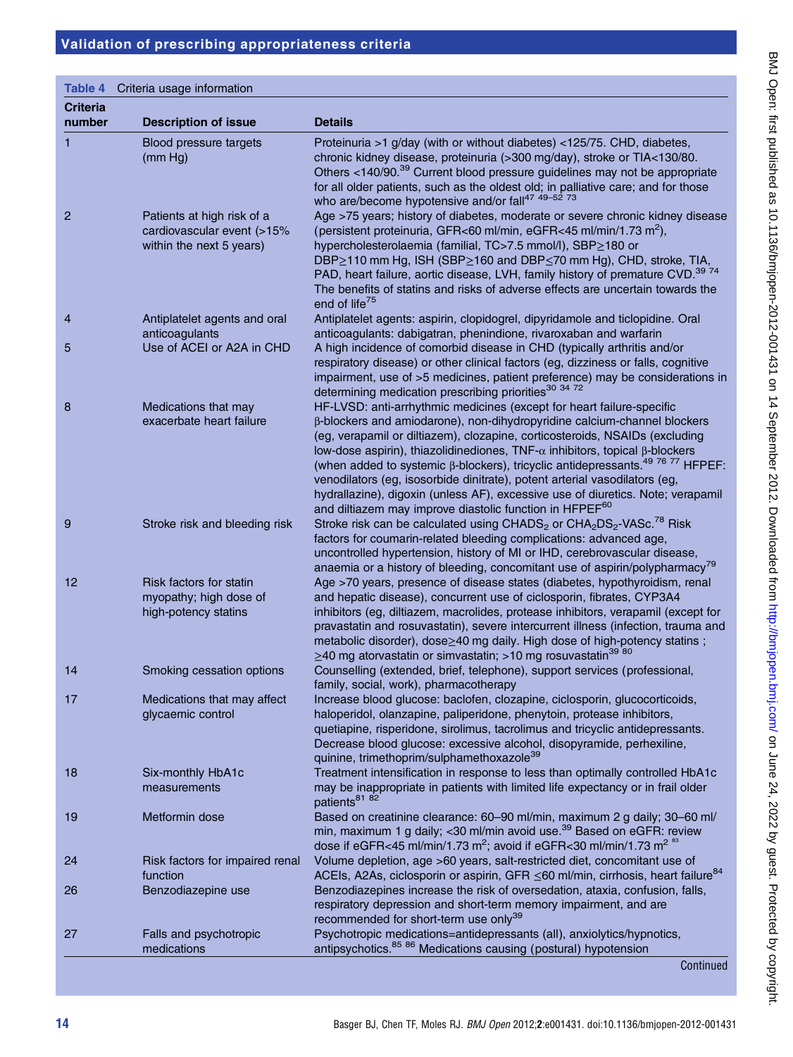#### Table 4 Criteria usage information

| <b>Criteria</b><br>number | <b>Description of issue</b>                                                          | <b>Details</b>                                                                                                                                                                                                                                                                                                                                                                                                                                                                                                                                                                                                                                                       |
|---------------------------|--------------------------------------------------------------------------------------|----------------------------------------------------------------------------------------------------------------------------------------------------------------------------------------------------------------------------------------------------------------------------------------------------------------------------------------------------------------------------------------------------------------------------------------------------------------------------------------------------------------------------------------------------------------------------------------------------------------------------------------------------------------------|
| 1                         | Blood pressure targets<br>(mm Hg)                                                    | Proteinuria >1 g/day (with or without diabetes) <125/75. CHD, diabetes,<br>chronic kidney disease, proteinuria (>300 mg/day), stroke or TIA<130/80.<br>Others <140/90. <sup>39</sup> Current blood pressure guidelines may not be appropriate<br>for all older patients, such as the oldest old; in palliative care; and for those<br>who are/become hypotensive and/or fall <sup>47 49-52</sup> 73                                                                                                                                                                                                                                                                  |
| $\overline{2}$            | Patients at high risk of a<br>cardiovascular event (>15%<br>within the next 5 years) | Age >75 years; history of diabetes, moderate or severe chronic kidney disease<br>(persistent proteinuria, GFR<60 ml/min, eGFR<45 ml/min/1.73 m <sup>2</sup> ),<br>hypercholesterolaemia (familial, TC>7.5 mmol/l), SBP≥180 or<br>DBP≥110 mm Hg, ISH (SBP≥160 and DBP≤70 mm Hg), CHD, stroke, TIA,<br>PAD, heart failure, aortic disease, LVH, family history of premature CVD. <sup>39 74</sup><br>The benefits of statins and risks of adverse effects are uncertain towards the<br>end of life <sup>75</sup>                                                                                                                                                       |
| 4                         | Antiplatelet agents and oral<br>anticoagulants                                       | Antiplatelet agents: aspirin, clopidogrel, dipyridamole and ticlopidine. Oral<br>anticoagulants: dabigatran, phenindione, rivaroxaban and warfarin                                                                                                                                                                                                                                                                                                                                                                                                                                                                                                                   |
| 5                         | Use of ACEI or A2A in CHD                                                            | A high incidence of comorbid disease in CHD (typically arthritis and/or<br>respiratory disease) or other clinical factors (eg, dizziness or falls, cognitive<br>impairment, use of >5 medicines, patient preference) may be considerations in<br>determining medication prescribing priorities <sup>30</sup> 34 72                                                                                                                                                                                                                                                                                                                                                   |
| 8                         | Medications that may<br>exacerbate heart failure                                     | HF-LVSD: anti-arrhythmic medicines (except for heart failure-specific<br>β-blockers and amiodarone), non-dihydropyridine calcium-channel blockers<br>(eg, verapamil or diltiazem), clozapine, corticosteroids, NSAIDs (excluding<br>low-dose aspirin), thiazolidinediones, TNF- $\alpha$ inhibitors, topical β-blockers<br>(when added to systemic $\beta$ -blockers), tricyclic antidepressants. <sup>49 76</sup> 77 HFPEF:<br>venodilators (eg, isosorbide dinitrate), potent arterial vasodilators (eg,<br>hydrallazine), digoxin (unless AF), excessive use of diuretics. Note; verapamil<br>and diltiazem may improve diastolic function in HFPEF <sup>60</sup> |
| 9                         | Stroke risk and bleeding risk                                                        | Stroke risk can be calculated using CHADS <sub>2</sub> or CHA <sub>2</sub> DS <sub>2</sub> -VASc. <sup>78</sup> Risk<br>factors for coumarin-related bleeding complications: advanced age,<br>uncontrolled hypertension, history of MI or IHD, cerebrovascular disease,<br>anaemia or a history of bleeding, concomitant use of aspirin/polypharmacy <sup>79</sup>                                                                                                                                                                                                                                                                                                   |
| 12                        | Risk factors for statin<br>myopathy; high dose of<br>high-potency statins            | Age >70 years, presence of disease states (diabetes, hypothyroidism, renal<br>and hepatic disease), concurrent use of ciclosporin, fibrates, CYP3A4<br>inhibitors (eg, diltiazem, macrolides, protease inhibitors, verapamil (except for<br>pravastatin and rosuvastatin), severe intercurrent illness (infection, trauma and<br>metabolic disorder), dose > 40 mg daily. High dose of high-potency statins;<br>≥40 mg atorvastatin or simvastatin; >10 mg rosuvastatin <sup>39 80</sup>                                                                                                                                                                             |
| 14                        | Smoking cessation options                                                            | Counselling (extended, brief, telephone), support services (professional,<br>family, social, work), pharmacotherapy                                                                                                                                                                                                                                                                                                                                                                                                                                                                                                                                                  |
| 17                        | Medications that may affect<br>glycaemic control                                     | Increase blood glucose: baclofen, clozapine, ciclosporin, glucocorticoids,<br>haloperidol, olanzapine, paliperidone, phenytoin, protease inhibitors,<br>quetiapine, risperidone, sirolimus, tacrolimus and tricyclic antidepressants.<br>Decrease blood glucose: excessive alcohol, disopyramide, perhexiline,<br>quinine, trimethoprim/sulphamethoxazole <sup>39</sup>                                                                                                                                                                                                                                                                                              |
| 18                        | Six-monthly HbA1c<br>measurements                                                    | Treatment intensification in response to less than optimally controlled HbA1c<br>may be inappropriate in patients with limited life expectancy or in frail older<br>patients <sup>81</sup> 82                                                                                                                                                                                                                                                                                                                                                                                                                                                                        |
| 19                        | Metformin dose                                                                       | Based on creatinine clearance: 60-90 ml/min, maximum 2 g daily; 30-60 ml/<br>min, maximum 1 g daily; <30 ml/min avoid use. <sup>39</sup> Based on eGFR: review<br>dose if eGFR<45 ml/min/1.73 m <sup>2</sup> ; avoid if eGFR<30 ml/min/1.73 m <sup>2 as</sup>                                                                                                                                                                                                                                                                                                                                                                                                        |
| 24                        | Risk factors for impaired renal<br>function                                          | Volume depletion, age >60 years, salt-restricted diet, concomitant use of<br>ACEIs, A2As, ciclosporin or aspirin, GFR ≤60 ml/min, cirrhosis, heart failure <sup>84</sup>                                                                                                                                                                                                                                                                                                                                                                                                                                                                                             |
| 26                        | Benzodiazepine use                                                                   | Benzodiazepines increase the risk of oversedation, ataxia, confusion, falls,<br>respiratory depression and short-term memory impairment, and are<br>recommended for short-term use only <sup>39</sup>                                                                                                                                                                                                                                                                                                                                                                                                                                                                |
| 27                        | Falls and psychotropic<br>medications                                                | Psychotropic medications=antidepressants (all), anxiolytics/hypnotics,<br>antipsychotics. <sup>85</sup> 86 Medications causing (postural) hypotension<br>Continued                                                                                                                                                                                                                                                                                                                                                                                                                                                                                                   |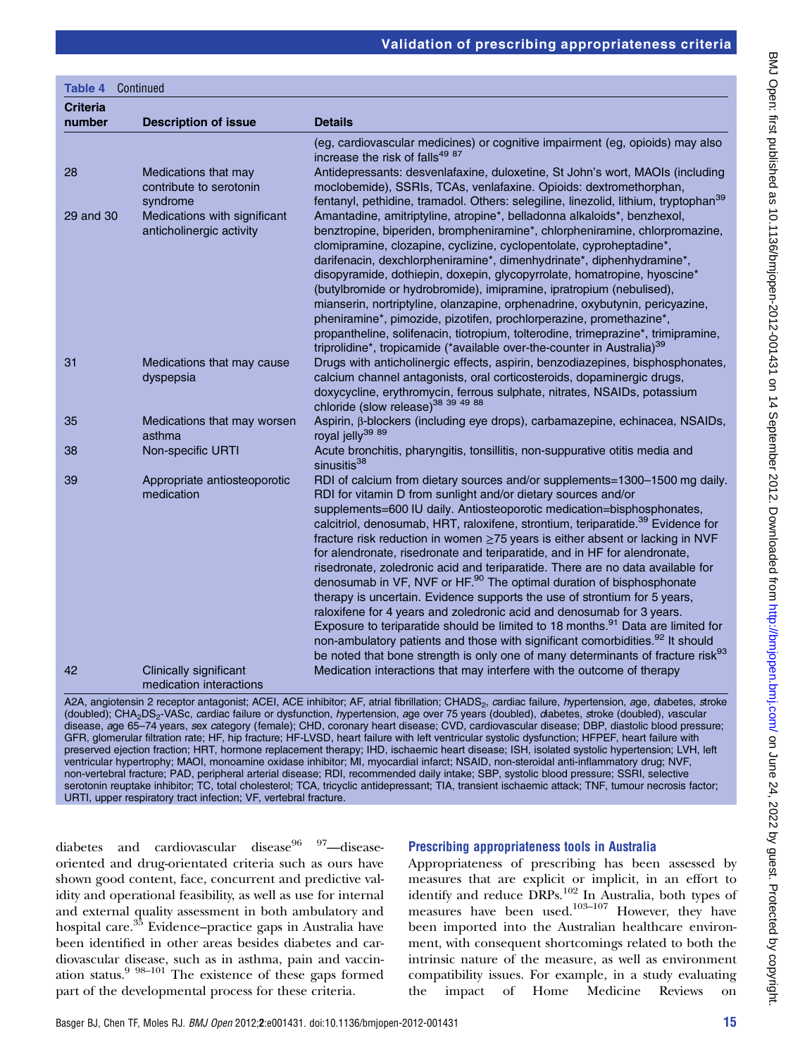| <b>Table 4</b>            | Continued                                                            |                                                                                                                                                                                                                                                                                                                                                                                                                                                                                                                                                                                                                                                                                                                                                                                                                                                                                                                                                                                                                                                                                                           |
|---------------------------|----------------------------------------------------------------------|-----------------------------------------------------------------------------------------------------------------------------------------------------------------------------------------------------------------------------------------------------------------------------------------------------------------------------------------------------------------------------------------------------------------------------------------------------------------------------------------------------------------------------------------------------------------------------------------------------------------------------------------------------------------------------------------------------------------------------------------------------------------------------------------------------------------------------------------------------------------------------------------------------------------------------------------------------------------------------------------------------------------------------------------------------------------------------------------------------------|
| <b>Criteria</b><br>number | <b>Description of issue</b>                                          | <b>Details</b>                                                                                                                                                                                                                                                                                                                                                                                                                                                                                                                                                                                                                                                                                                                                                                                                                                                                                                                                                                                                                                                                                            |
| 28                        | Medications that may<br>contribute to serotonin                      | (eg, cardiovascular medicines) or cognitive impairment (eg, opioids) may also<br>increase the risk of falls <sup>49 87</sup><br>Antidepressants: desvenlafaxine, duloxetine, St John's wort, MAOIs (including<br>moclobemide), SSRIs, TCAs, venlafaxine. Opioids: dextromethorphan,                                                                                                                                                                                                                                                                                                                                                                                                                                                                                                                                                                                                                                                                                                                                                                                                                       |
| 29 and 30                 | syndrome<br>Medications with significant<br>anticholinergic activity | fentanyl, pethidine, tramadol. Others: selegiline, linezolid, lithium, tryptophan <sup>39</sup><br>Amantadine, amitriptyline, atropine*, belladonna alkaloids*, benzhexol,<br>benztropine, biperiden, brompheniramine*, chlorpheniramine, chlorpromazine,<br>clomipramine, clozapine, cyclizine, cyclopentolate, cyproheptadine*,                                                                                                                                                                                                                                                                                                                                                                                                                                                                                                                                                                                                                                                                                                                                                                         |
|                           |                                                                      | darifenacin, dexchlorpheniramine*, dimenhydrinate*, diphenhydramine*,<br>disopyramide, dothiepin, doxepin, glycopyrrolate, homatropine, hyoscine*<br>(butylbromide or hydrobromide), imipramine, ipratropium (nebulised),<br>mianserin, nortriptyline, olanzapine, orphenadrine, oxybutynin, pericyazine,<br>pheniramine*, pimozide, pizotifen, prochlorperazine, promethazine*,<br>propantheline, solifenacin, tiotropium, tolterodine, trimeprazine*, trimipramine,<br>triprolidine*, tropicamide (*available over-the-counter in Australia) <sup>39</sup>                                                                                                                                                                                                                                                                                                                                                                                                                                                                                                                                              |
| 31                        | Medications that may cause<br>dyspepsia                              | Drugs with anticholinergic effects, aspirin, benzodiazepines, bisphosphonates,<br>calcium channel antagonists, oral corticosteroids, dopaminergic drugs,<br>doxycycline, erythromycin, ferrous sulphate, nitrates, NSAIDs, potassium<br>chloride (slow release) <sup>38</sup> 39 49 88                                                                                                                                                                                                                                                                                                                                                                                                                                                                                                                                                                                                                                                                                                                                                                                                                    |
| 35                        | Medications that may worsen<br>asthma                                | Aspirin, β-blockers (including eye drops), carbamazepine, echinacea, NSAIDs,<br>royal jelly <sup>39 89</sup>                                                                                                                                                                                                                                                                                                                                                                                                                                                                                                                                                                                                                                                                                                                                                                                                                                                                                                                                                                                              |
| 38                        | Non-specific URTI                                                    | Acute bronchitis, pharyngitis, tonsillitis, non-suppurative otitis media and<br>sinusitis <sup>38</sup>                                                                                                                                                                                                                                                                                                                                                                                                                                                                                                                                                                                                                                                                                                                                                                                                                                                                                                                                                                                                   |
| 39                        | Appropriate antiosteoporotic<br>medication                           | RDI of calcium from dietary sources and/or supplements=1300-1500 mg daily.<br>RDI for vitamin D from sunlight and/or dietary sources and/or<br>supplements=600 IU daily. Antiosteoporotic medication=bisphosphonates,<br>calcitriol, denosumab, HRT, raloxifene, strontium, teriparatide. <sup>39</sup> Evidence for<br>fracture risk reduction in women ≥75 years is either absent or lacking in NVF<br>for alendronate, risedronate and teriparatide, and in HF for alendronate,<br>risedronate, zoledronic acid and teriparatide. There are no data available for<br>denosumab in VF, NVF or HF. <sup>90</sup> The optimal duration of bisphosphonate<br>therapy is uncertain. Evidence supports the use of strontium for 5 years,<br>raloxifene for 4 years and zoledronic acid and denosumab for 3 years.<br>Exposure to teriparatide should be limited to 18 months. <sup>91</sup> Data are limited for<br>non-ambulatory patients and those with significant comorbidities. <sup>92</sup> It should<br>be noted that bone strength is only one of many determinants of fracture risk <sup>93</sup> |
| 42                        | Clinically significant<br>medication interactions                    | Medication interactions that may interfere with the outcome of therapy                                                                                                                                                                                                                                                                                                                                                                                                                                                                                                                                                                                                                                                                                                                                                                                                                                                                                                                                                                                                                                    |

A2A, angiotensin 2 receptor antagonist; ACEI, ACE inhibitor; AF, atrial fibrillation; CHADS<sub>2</sub>, cardiac failure, hypertension, age, diabetes, stroke (doubled); CHA2DS2-VASc, cardiac failure or dysfunction, hypertension, age over 75 years (doubled), diabetes, stroke (doubled), vascular disease, age 65–74 years, sex category (female); CHD, coronary heart disease; CVD, cardiovascular disease; DBP, diastolic blood pressure; GFR, glomerular filtration rate; HF, hip fracture; HF-LVSD, heart failure with left ventricular systolic dysfunction; HFPEF, heart failure with preserved ejection fraction; HRT, hormone replacement therapy; IHD, ischaemic heart disease; ISH, isolated systolic hypertension; LVH, left ventricular hypertrophy; MAOI, monoamine oxidase inhibitor; MI, myocardial infarct; NSAID, non-steroidal anti-inflammatory drug; NVF, non-vertebral fracture; PAD, peripheral arterial disease; RDI, recommended daily intake; SBP, systolic blood pressure; SSRI, selective serotonin reuptake inhibitor; TC, total cholesterol; TCA, tricyclic antidepressant; TIA, transient ischaemic attack; TNF, tumour necrosis factor; URTI, upper respiratory tract infection; VF, vertebral fracture.

diabetes and cardiovascular disease<sup>96</sup>  $97$ —diseaseoriented and drug-orientated criteria such as ours have shown good content, face, concurrent and predictive validity and operational feasibility, as well as use for internal and external quality assessment in both ambulatory and hospital care.<sup>35</sup> Evidence–practice gaps in Australia have been identified in other areas besides diabetes and cardiovascular disease, such as in asthma, pain and vaccination status.9 98–<sup>101</sup> The existence of these gaps formed part of the developmental process for these criteria.

#### Prescribing appropriateness tools in Australia

Appropriateness of prescribing has been assessed by measures that are explicit or implicit, in an effort to identify and reduce DRPs.<sup>102</sup> In Australia, both types of measures have been used.<sup>103-107</sup> However, they have been imported into the Australian healthcare environment, with consequent shortcomings related to both the intrinsic nature of the measure, as well as environment compatibility issues. For example, in a study evaluating the impact of Home Medicine Reviews on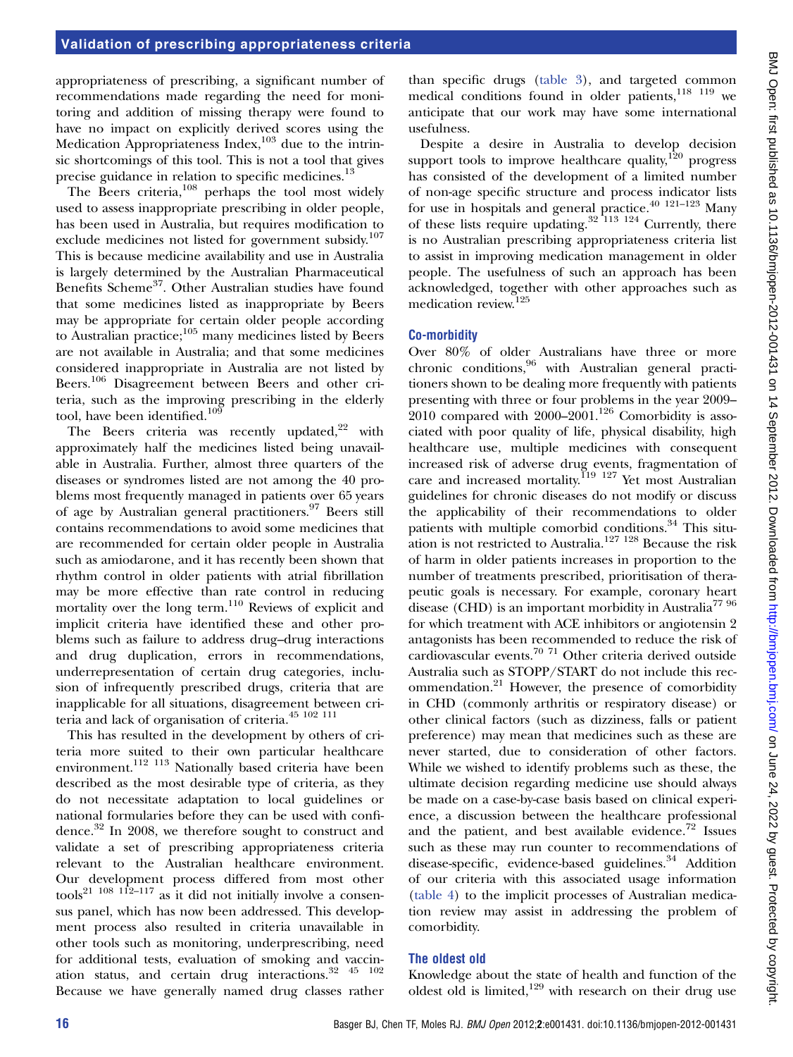appropriateness of prescribing, a significant number of recommendations made regarding the need for monitoring and addition of missing therapy were found to have no impact on explicitly derived scores using the Medication Appropriateness Index, $103$  due to the intrinsic shortcomings of this tool. This is not a tool that gives precise guidance in relation to specific medicines.<sup>13</sup>

The Beers criteria,<sup>108</sup> perhaps the tool most widely used to assess inappropriate prescribing in older people, has been used in Australia, but requires modification to exclude medicines not listed for government subsidy.<sup>107</sup> This is because medicine availability and use in Australia is largely determined by the Australian Pharmaceutical Benefits Scheme<sup>37</sup>. Other Australian studies have found that some medicines listed as inappropriate by Beers may be appropriate for certain older people according to Australian practice; $105$  many medicines listed by Beers are not available in Australia; and that some medicines considered inappropriate in Australia are not listed by Beers.<sup>106</sup> Disagreement between Beers and other criteria, such as the improving prescribing in the elderly tool, have been identified.<sup>109</sup>

The Beers criteria was recently updated, $22$  with approximately half the medicines listed being unavailable in Australia. Further, almost three quarters of the diseases or syndromes listed are not among the 40 problems most frequently managed in patients over 65 years of age by Australian general practitioners.<sup>97</sup> Beers still contains recommendations to avoid some medicines that are recommended for certain older people in Australia such as amiodarone, and it has recently been shown that rhythm control in older patients with atrial fibrillation may be more effective than rate control in reducing mortality over the long term.<sup>110</sup> Reviews of explicit and implicit criteria have identified these and other problems such as failure to address drug–drug interactions and drug duplication, errors in recommendations, underrepresentation of certain drug categories, inclusion of infrequently prescribed drugs, criteria that are inapplicable for all situations, disagreement between criteria and lack of organisation of criteria.45 102 111

This has resulted in the development by others of criteria more suited to their own particular healthcare environment.<sup>112 113</sup> Nationally based criteria have been described as the most desirable type of criteria, as they do not necessitate adaptation to local guidelines or national formularies before they can be used with confidence.<sup>32</sup> In 2008, we therefore sought to construct and validate a set of prescribing appropriateness criteria relevant to the Australian healthcare environment. Our development process differed from most other tools<sup>21</sup> <sup>108</sup> <sup>112–117</sup> as it did not initially involve a consensus panel, which has now been addressed. This development process also resulted in criteria unavailable in other tools such as monitoring, underprescribing, need for additional tests, evaluation of smoking and vaccination status, and certain drug interactions.32 45 102 Because we have generally named drug classes rather

than specific drugs (table 3), and targeted common medical conditions found in older patients, 118 119 we anticipate that our work may have some international usefulness.

Despite a desire in Australia to develop decision support tools to improve healthcare quality, $120$  progress has consisted of the development of a limited number of non-age specific structure and process indicator lists for use in hospitals and general practice.40 121–<sup>123</sup> Many of these lists require updating.32 113 124 Currently, there is no Australian prescribing appropriateness criteria list to assist in improving medication management in older people. The usefulness of such an approach has been acknowledged, together with other approaches such as medication review.125

#### Co-morbidity

Over 80% of older Australians have three or more chronic conditions,<sup>96</sup> with Australian general practitioners shown to be dealing more frequently with patients presenting with three or four problems in the year 2009–  $2010$  compared with  $2000-2001$ .<sup>126</sup> Comorbidity is associated with poor quality of life, physical disability, high healthcare use, multiple medicines with consequent increased risk of adverse drug events, fragmentation of care and increased mortality.<sup>119</sup> <sup>127</sup> Yet most Australian guidelines for chronic diseases do not modify or discuss the applicability of their recommendations to older patients with multiple comorbid conditions.<sup>34</sup> This situation is not restricted to Australia.<sup>127 128</sup> Because the risk of harm in older patients increases in proportion to the number of treatments prescribed, prioritisation of therapeutic goals is necessary. For example, coronary heart disease (CHD) is an important morbidity in Australia<sup>77 96</sup> for which treatment with ACE inhibitors or angiotensin 2 antagonists has been recommended to reduce the risk of cardiovascular events.70 71 Other criteria derived outside Australia such as STOPP/START do not include this recommendation.<sup>21</sup> However, the presence of comorbidity in CHD (commonly arthritis or respiratory disease) or other clinical factors (such as dizziness, falls or patient preference) may mean that medicines such as these are never started, due to consideration of other factors. While we wished to identify problems such as these, the ultimate decision regarding medicine use should always be made on a case-by-case basis based on clinical experience, a discussion between the healthcare professional and the patient, and best available evidence. $72$  Issues such as these may run counter to recommendations of disease-specific, evidence-based guidelines.<sup>34</sup> Addition of our criteria with this associated usage information (table 4) to the implicit processes of Australian medication review may assist in addressing the problem of comorbidity.

#### The oldest old

Knowledge about the state of health and function of the oldest old is limited,<sup>129</sup> with research on their drug use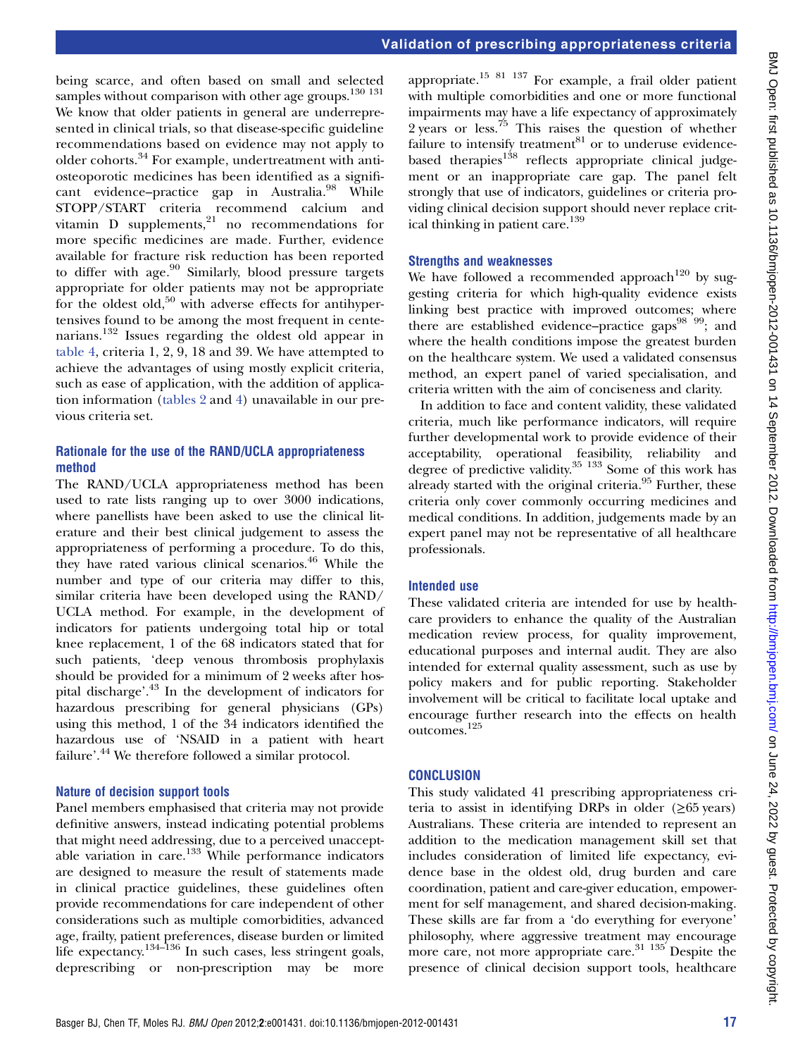being scarce, and often based on small and selected samples without comparison with other age groups. $130 131$ We know that older patients in general are underrepresented in clinical trials, so that disease-specific guideline recommendations based on evidence may not apply to older cohorts.<sup>34</sup> For example, undertreatment with antiosteoporotic medicines has been identified as a significant evidence–practice gap in Australia.<sup>98</sup> While STOPP/START criteria recommend calcium and vitamin  $D$  supplements,<sup>21</sup> no recommendations for more specific medicines are made. Further, evidence available for fracture risk reduction has been reported to differ with age.<sup>90</sup> Similarly, blood pressure targets appropriate for older patients may not be appropriate for the oldest old, $50$  with adverse effects for antihypertensives found to be among the most frequent in centenarians.<sup>132</sup> Issues regarding the oldest old appear in table 4, criteria 1, 2, 9, 18 and 39. We have attempted to achieve the advantages of using mostly explicit criteria, such as ease of application, with the addition of application information (tables 2 and 4) unavailable in our previous criteria set.

#### Rationale for the use of the RAND/UCLA appropriateness method

The RAND/UCLA appropriateness method has been used to rate lists ranging up to over 3000 indications, where panellists have been asked to use the clinical literature and their best clinical judgement to assess the appropriateness of performing a procedure. To do this, they have rated various clinical scenarios.46 While the number and type of our criteria may differ to this, similar criteria have been developed using the RAND/ UCLA method. For example, in the development of indicators for patients undergoing total hip or total knee replacement, 1 of the 68 indicators stated that for such patients, 'deep venous thrombosis prophylaxis should be provided for a minimum of 2 weeks after hospital discharge'. <sup>43</sup> In the development of indicators for hazardous prescribing for general physicians (GPs) using this method, 1 of the 34 indicators identified the hazardous use of 'NSAID in a patient with heart failure'.<sup>44</sup> We therefore followed a similar protocol.

#### Nature of decision support tools

Panel members emphasised that criteria may not provide definitive answers, instead indicating potential problems that might need addressing, due to a perceived unacceptable variation in care.<sup>133</sup> While performance indicators are designed to measure the result of statements made in clinical practice guidelines, these guidelines often provide recommendations for care independent of other considerations such as multiple comorbidities, advanced age, frailty, patient preferences, disease burden or limited life expectancy.<sup>134–136</sup> In such cases, less stringent goals, deprescribing or non-prescription may be more

appropriate.<sup>15 81 137</sup> For example, a frail older patient with multiple comorbidities and one or more functional impairments may have a life expectancy of approximately 2 years or less.<sup>75</sup> This raises the question of whether failure to intensify treatment $81$  or to underuse evidencebased therapies $138$  reflects appropriate clinical judgement or an inappropriate care gap. The panel felt strongly that use of indicators, guidelines or criteria providing clinical decision support should never replace critical thinking in patient care.<sup>139</sup>

#### Strengths and weaknesses

We have followed a recommended approach<sup>120</sup> by suggesting criteria for which high-quality evidence exists linking best practice with improved outcomes; where there are established evidence–practice gaps $^{98}$   $^{99}$ ; and where the health conditions impose the greatest burden on the healthcare system. We used a validated consensus method, an expert panel of varied specialisation, and criteria written with the aim of conciseness and clarity.

In addition to face and content validity, these validated criteria, much like performance indicators, will require further developmental work to provide evidence of their acceptability, operational feasibility, reliability and degree of predictive validity.<sup>35 133</sup> Some of this work has already started with the original criteria.<sup>95</sup> Further, these criteria only cover commonly occurring medicines and medical conditions. In addition, judgements made by an expert panel may not be representative of all healthcare professionals.

#### Intended use

These validated criteria are intended for use by healthcare providers to enhance the quality of the Australian medication review process, for quality improvement, educational purposes and internal audit. They are also intended for external quality assessment, such as use by policy makers and for public reporting. Stakeholder involvement will be critical to facilitate local uptake and encourage further research into the effects on health outcomes.125

#### **CONCLUSION**

This study validated 41 prescribing appropriateness criteria to assist in identifying DRPs in older  $(\geq 65 \text{ years})$ Australians. These criteria are intended to represent an addition to the medication management skill set that includes consideration of limited life expectancy, evidence base in the oldest old, drug burden and care coordination, patient and care-giver education, empowerment for self management, and shared decision-making. These skills are far from a 'do everything for everyone' philosophy, where aggressive treatment may encourage more care, not more appropriate care.<sup>31</sup>  $135$  Despite the presence of clinical decision support tools, healthcare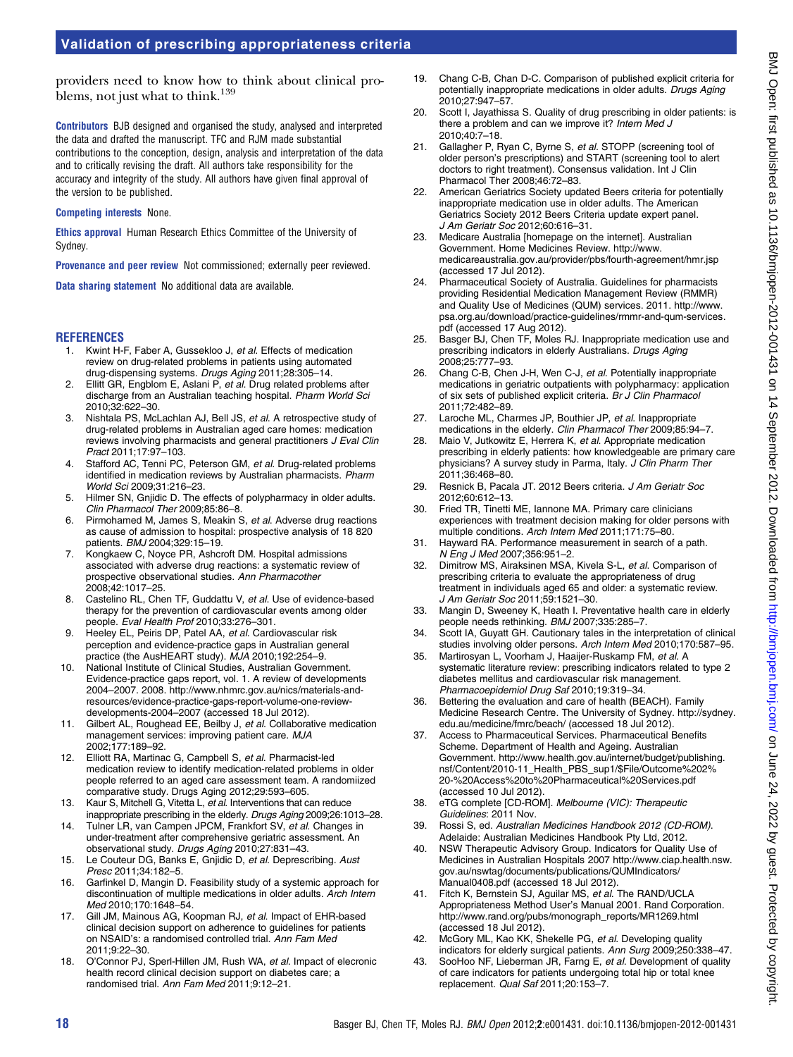providers need to know how to think about clinical problems, not just what to think.<sup>139</sup>

Contributors BJB designed and organised the study, analysed and interpreted the data and drafted the manuscript. TFC and RJM made substantial contributions to the conception, design, analysis and interpretation of the data and to critically revising the draft. All authors take responsibility for the accuracy and integrity of the study. All authors have given final approval of the version to be published.

#### Competing interests None.

Ethics approval Human Research Ethics Committee of the University of Sydney.

Provenance and peer review Not commissioned; externally peer reviewed.

Data sharing statement No additional data are available.

#### **REFERENCES**

- 1. Kwint H-F, Faber A, Gussekloo J, et al. Effects of medication review on drug-related problems in patients using automated drug-dispensing systems. Drugs Aging 2011;28:305–14.
- 2. Ellitt GR, Engblom E, Aslani P, et al. Drug related problems after discharge from an Australian teaching hospital. Pharm World Sci 2010;32:622–30.
- 3. Nishtala PS, McLachlan AJ, Bell JS, et al. A retrospective study of drug-related problems in Australian aged care homes: medication reviews involving pharmacists and general practitioners J Eval Clin Pract 2011;17:97–103.
- 4. Stafford AC, Tenni PC, Peterson GM, et al. Drug-related problems identified in medication reviews by Australian pharmacists. Pharm World Sci 2009;31:216–23.
- 5. Hilmer SN, Gnjidic D. The effects of polypharmacy in older adults. Clin Pharmacol Ther 2009;85:86–8.
- 6. Pirmohamed M, James S, Meakin S, et al. Adverse drug reactions as cause of admission to hospital: prospective analysis of 18 820 patients. BMJ 2004;329:15–19.
- 7. Kongkaew C, Noyce PR, Ashcroft DM. Hospital admissions associated with adverse drug reactions: a systematic review of prospective observational studies. Ann Pharmacother 2008;42:1017–25.
- Castelino RL, Chen TF, Guddattu V, et al. Use of evidence-based therapy for the prevention of cardiovascular events among older people. Eval Health Prof 2010;33:276–301.
- 9. Heeley EL, Peiris DP, Patel AA, et al. Cardiovascular risk perception and evidence-practice gaps in Australian general practice (the AusHEART study). MJA 2010;192:254–9.
- 10. National Institute of Clinical Studies, Australian Government. Evidence-practice gaps report, vol. 1. A review of developments 2004–2007. 2008. [http://www.nhmrc.gov.au/nics/materials-and](http://www.nhmrc.gov.au/nics/materials-and-resources/evidence-practice-gaps-report-volume-one-review-developments-2004–2007)[resources/evidence-practice-gaps-report-volume-one-review](http://www.nhmrc.gov.au/nics/materials-and-resources/evidence-practice-gaps-report-volume-one-review-developments-2004–2007)[developments-2004](http://www.nhmrc.gov.au/nics/materials-and-resources/evidence-practice-gaps-report-volume-one-review-developments-2004–2007)–2007 (accessed 18 Jul 2012).
- 11. Gilbert AL, Roughead EE, Beilby J, et al. Collaborative medication management services: improving patient care. MJA 2002;177:189–92.
- 12. Elliott RA, Martinac G, Campbell S, et al. Pharmacist-led medication review to identify medication-related problems in older people referred to an aged care assessment team. A randomiized comparative study. Drugs Aging 2012;29:593–605.
- 13. Kaur S, Mitchell G, Vitetta L, et al. Interventions that can reduce inappropriate prescribing in the elderly. Drugs Aging 2009;26:1013–28.
- 14. Tulner LR, van Campen JPCM, Frankfort SV, et al. Changes in under-treatment after comprehensive geriatric assessment. An observational study. Drugs Aging 2010;27:831–43.
- 15. Le Couteur DG, Banks E, Gnjidic D, et al. Deprescribing. Aust Presc 2011;34:182–5.
- 16. Garfinkel D, Mangin D. Feasibility study of a systemic approach for discontinuation of multiple medications in older adults. Arch Intern Med 2010;170:1648–54.
- 17. Gill JM, Mainous AG, Koopman RJ, et al. Impact of EHR-based clinical decision support on adherence to guidelines for patients on NSAID's: a randomised controlled trial. Ann Fam Med 2011;9:22–30.
- 18. O'Connor PJ, Sperl-Hillen JM, Rush WA, et al. Impact of elecronic health record clinical decision support on diabetes care; a randomised trial. Ann Fam Med 2011;9:12–21.
- 19. Chang C-B, Chan D-C. Comparison of published explicit criteria for potentially inappropriate medications in older adults. Drugs Aging 2010;27:947–57.
- 20. Scott I, Jayathissa S. Quality of drug prescribing in older patients: is there a problem and can we improve it? Intern Med J 2010;40:7–18.
- 21. Gallagher P, Ryan C, Byrne S, et al. STOPP (screening tool of older person's prescriptions) and START (screening tool to alert doctors to right treatment). Consensus validation. Int J Clin Pharmacol Ther 2008;46:72–83.
- 22. American Geriatrics Society updated Beers criteria for potentially inappropriate medication use in older adults. The American Geriatrics Society 2012 Beers Criteria update expert panel. J Am Geriatr Soc 2012;60:616–31.
- 23. Medicare Australia [homepage on the internet]. Australian Government. Home Medicines Review. [http://www.](http://www.medicareaustralia.gov.au/provider/pbs/fourth-agreement/hmr.jsp) [medicareaustralia.gov.au/provider/pbs/fourth-agreement/hmr.jsp](http://www.medicareaustralia.gov.au/provider/pbs/fourth-agreement/hmr.jsp) (accessed 17 Jul 2012).
- 24. Pharmaceutical Society of Australia. Guidelines for pharmacists providing Residential Medication Management Review (RMMR) and Quality Use of Medicines (QUM) services. 2011. [http://www.](http://www.psa.org.au/download/practice-guidelines/rmmr-and-qum-services.pdf) [psa.org.au/download/practice-guidelines/rmmr-and-qum-services.](http://www.psa.org.au/download/practice-guidelines/rmmr-and-qum-services.pdf) [pdf](http://www.psa.org.au/download/practice-guidelines/rmmr-and-qum-services.pdf) (accessed 17 Aug 2012).
- 25. Basger BJ, Chen TF, Moles RJ. Inappropriate medication use and prescribing indicators in elderly Australians. Drugs Aging 2008;25:777–93.
- 26. Chang C-B, Chen J-H, Wen C-J, et al. Potentially inappropriate medications in geriatric outpatients with polypharmacy: application of six sets of published explicit criteria. Br J Clin Pharmacol 2011;72:482–89.
- 27. Laroche ML, Charmes JP, Bouthier JP, et al. Inappropriate medications in the elderly. Clin Pharmacol Ther 2009;85:94-7.
- 28. Maio V, Jutkowitz E, Herrera K, et al. Appropriate medication prescribing in elderly patients: how knowledgeable are primary care physicians? A survey study in Parma, Italy. J Clin Pharm Ther 2011;36:468–80.
- 29. Resnick B, Pacala JT. 2012 Beers criteria. J Am Geriatr Soc 2012;60:612–13.
- 30. Fried TR, Tinetti ME, Iannone MA. Primary care clinicians experiences with treatment decision making for older persons with multiple conditions. Arch Intern Med 2011;171:75–80.
- 31. Hayward RA. Performance measurement in search of a path. N Eng J Med 2007;356:951–2.
- 32. Dimitrow MS, Airaksinen MSA, Kivela S-L, et al. Comparison of prescribing criteria to evaluate the appropriateness of drug treatment in individuals aged 65 and older: a systematic review. J Am Geriatr Soc 2011;59:1521–30.
- 33. Mangin D, Sweeney K, Heath I. Preventative health care in elderly people needs rethinking. BMJ 2007;335:285–7.
- 34. Scott IA, Guyatt GH. Cautionary tales in the interpretation of clinical studies involving older persons. Arch Intern Med 2010;170:587–95.
- 35. Martirosyan L, Voorham J, Haaijer-Ruskamp FM, et al. A systematic literature review: prescribing indicators related to type 2 diabetes mellitus and cardiovascular risk management. Pharmacoepidemiol Drug Saf 2010;19:319–34.
- 36. Bettering the evaluation and care of health (BEACH). Family Medicine Research Centre. The University of Sydney. [http://sydney.](http://sydney.edu.au/medicine/fmrc/beach/) [edu.au/medicine/fmrc/beach/](http://sydney.edu.au/medicine/fmrc/beach/) (accessed 18 Jul 2012).
- 37. Access to Pharmaceutical Services. Pharmaceutical Benefits Scheme. Department of Health and Ageing. Australian Government. [http://www.health.gov.au/internet/budget/publishing.](http://www.health.gov.au/internet/budget/publishing.nsf/Content/2010-11_Health_PBS_sup1/$File/Outcome%202%20-%20Access%20to%20Pharmaceutical%20Services.pdf) [nsf/Content/2010-11\\_Health\\_PBS\\_sup1/\\$File/Outcome%202%](http://www.health.gov.au/internet/budget/publishing.nsf/Content/2010-11_Health_PBS_sup1/$File/Outcome%202%20-%20Access%20to%20Pharmaceutical%20Services.pdf) [20-%20Access%20to%20Pharmaceutical%20Services.pdf](http://www.health.gov.au/internet/budget/publishing.nsf/Content/2010-11_Health_PBS_sup1/$File/Outcome%202%20-%20Access%20to%20Pharmaceutical%20Services.pdf) (accessed 10 Jul 2012).
- 38. eTG complete [CD-ROM]. Melbourne (VIC): Therapeutic Guidelines: 2011 Nov.
- 39. Rossi S, ed. Australian Medicines Handbook 2012 (CD-ROM). Adelaide: Australian Medicines Handbook Pty Ltd, 2012.
- 40. NSW Therapeutic Advisory Group. Indicators for Quality Use of Medicines in Australian Hospitals 2007 [http://www.ciap.health.nsw.](http://www.ciap.health.nsw.gov.au/nswtag/documents/publications/QUMIndicators/Manual0408.pdf) [gov.au/nswtag/documents/publications/QUMIndicators/](http://www.ciap.health.nsw.gov.au/nswtag/documents/publications/QUMIndicators/Manual0408.pdf) [Manual0408.pdf](http://www.ciap.health.nsw.gov.au/nswtag/documents/publications/QUMIndicators/Manual0408.pdf) (accessed 18 Jul 2012).
- 41. Fitch K, Bernstein SJ, Aguilar MS, et al. The RAND/UCLA Appropriateness Method User's Manual 2001. Rand Corporation. [http://www.rand.org/pubs/monograph\\_reports/MR1269.html](http://www.rand.org/pubs/monograph_reports/MR1269.html) (accessed 18 Jul 2012).
- 42. McGory ML, Kao KK, Shekelle PG, et al. Developing quality indicators for elderly surgical patients. Ann Surg 2009;250:338–47.
- 43. SooHoo NF, Lieberman JR, Farng E, et al. Development of quality of care indicators for patients undergoing total hip or total knee replacement. Qual Saf 2011;20:153–7.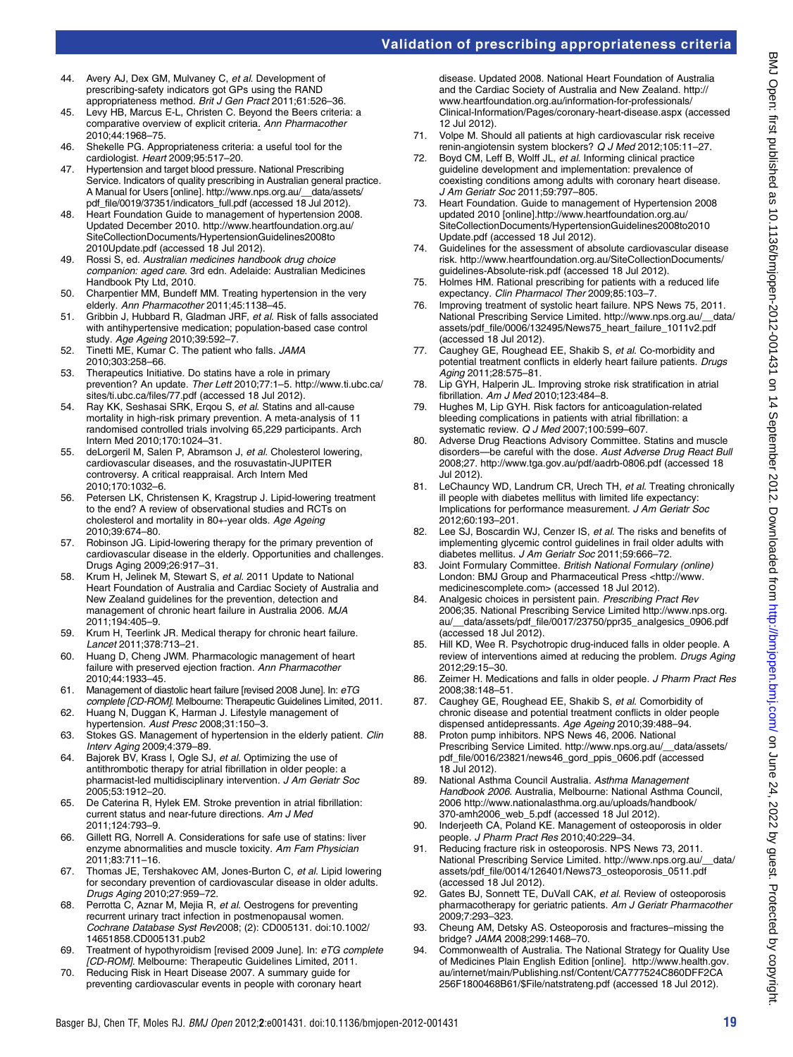- 44. Avery AJ, Dex GM, Mulvaney C, et al. Development of prescribing-safety indicators got GPs using the RAND appropriateness method. Brit J Gen Pract 2011;61:526–36.
- 45. Levy HB, Marcus E-L, Christen C. Beyond the Beers criteria: a comparative overview of explicit criteria. Ann Pharmacother 2010;44:1968–75.
- 46. Shekelle PG. Appropriateness criteria: a useful tool for the cardiologist. Heart 2009;95:517–20.
- 47. Hypertension and target blood pressure. National Prescribing Service. Indicators of quality prescribing in Australian general practice. A Manual for Users [online]. [http://www.nps.org.au/\\_\\_data/assets/](http://www.nps.org.au/__data/assets/pdf_file/0019/37351/indicators_full.pdf) [pdf\\_file/0019/37351/indicators\\_full.pdf](http://www.nps.org.au/__data/assets/pdf_file/0019/37351/indicators_full.pdf) (accessed 18 Jul 2012)
- 48. Heart Foundation Guide to management of hypertension 2008. Updated December 2010. [http://www.heartfoundation.org.au/](http://www.heartfoundation.org.au/SiteCollectionDocuments/HypertensionGuidelines2008to2010Update.pdf) [SiteCollectionDocuments/HypertensionGuidelines2008to](http://www.heartfoundation.org.au/SiteCollectionDocuments/HypertensionGuidelines2008to2010Update.pdf) [2010Update.pdf](http://www.heartfoundation.org.au/SiteCollectionDocuments/HypertensionGuidelines2008to2010Update.pdf) (accessed 18 Jul 2012).
- 49. Rossi S, ed. Australian medicines handbook drug choice companion: aged care. 3rd edn. Adelaide: Australian Medicines Handbook Pty Ltd, 2010.
- 50. Charpentier MM, Bundeff MM. Treating hypertension in the very elderly. Ann Pharmacother 2011;45:1138–45.
- 51. Gribbin J, Hubbard R, Gladman JRF, et al. Risk of falls associated with antihypertensive medication; population-based case control study. Age Ageing 2010;39:592–7.
- 52. Tinetti ME, Kumar C. The patient who falls. JAMA 2010;303:258–66.
- 53. Therapeutics Initiative. Do statins have a role in primary prevention? An update. Ther Lett 2010;77:1–5. [http://www.ti.ubc.ca/](http://www.ti.ubc.ca/sites/ti.ubc.ca/files/77.pdf) [sites/ti.ubc.ca/files/77.pdf](http://www.ti.ubc.ca/sites/ti.ubc.ca/files/77.pdf) (accessed 18 Jul 2012).
- 54. Ray KK, Seshasai SRK, Erqou S, et al. Statins and all-cause mortality in high-risk primary prevention. A meta-analysis of 11 randomised controlled trials involving 65,229 participants. Arch Intern Med 2010;170:1024–31.
- 55. deLorgeril M, Salen P, Abramson J, et al. Cholesterol lowering, cardiovascular diseases, and the rosuvastatin-JUPITER controversy. A critical reappraisal. Arch Intern Med 2010;170:1032–6.
- 56. Petersen LK, Christensen K, Kragstrup J. Lipid-lowering treatment to the end? A review of observational studies and RCTs on cholesterol and mortality in 80+-year olds. Age Ageing 2010;39:674–80.
- 57. Robinson JG. Lipid-lowering therapy for the primary prevention of cardiovascular disease in the elderly. Opportunities and challenges. Drugs Aging 2009;26:917–31.
- 58. Krum H, Jelinek M, Stewart S, et al. 2011 Update to National Heart Foundation of Australia and Cardiac Society of Australia and New Zealand guidelines for the prevention, detection and management of chronic heart failure in Australia 2006. MJA 2011;194:405–9.
- 59. Krum H, Teerlink JR. Medical therapy for chronic heart failure. Lancet 2011;378:713–21.
- 60. Huang D, Cheng JWM. Pharmacologic management of heart failure with preserved ejection fraction. Ann Pharmacother 2010;44:1933–45.
- 61. Management of diastolic heart failure [revised 2008 June]. In: eTG complete [CD-ROM]. Melbourne: Therapeutic Guidelines Limited, 2011.
- 62. Huang N, Duggan K, Harman J. Lifestyle management of hypertension. Aust Presc 2008:31:150-3.
- 63. Stokes GS. Management of hypertension in the elderly patient. Clin Interv Aging 2009;4:379–89.
- 64. Bajorek BV, Krass I, Ogle SJ, et al. Optimizing the use of antithrombotic therapy for atrial fibrillation in older people: a pharmacist-led multidisciplinary intervention. J Am Geriatr Soc 2005;53:1912–20.
- 65. De Caterina R, Hylek EM. Stroke prevention in atrial fibrillation: current status and near-future directions. Am J Med 2011;124:793–9.
- 66. Gillett RG, Norrell A. Considerations for safe use of statins: liver enzyme abnormalities and muscle toxicity. Am Fam Physician 2011;83:711–16.
- 67. Thomas JE, Tershakovec AM, Jones-Burton C, et al. Lipid lowering for secondary prevention of cardiovascular disease in older adults. Drugs Aging 2010;27:959–72.
- 68. Perrotta C, Aznar M, Mejia R, et al. Oestrogens for preventing recurrent urinary tract infection in postmenopausal women. Cochrane Database Syst Rev2008; (2): CD005131. doi:[10.1002/](http://dx.doi.org/10.1002/14651858.CD005131.pub2) [14651858.CD005131.pub2](http://dx.doi.org/10.1002/14651858.CD005131.pub2)
- 69. Treatment of hypothyroidism [revised 2009 June]. In: eTG complete [CD-ROM]. Melbourne: Therapeutic Guidelines Limited, 2011.
- 70. Reducing Risk in Heart Disease 2007. A summary guide for preventing cardiovascular events in people with coronary heart

disease. Updated 2008. National Heart Foundation of Australia and the Cardiac Society of Australia and New Zealand. [http://](http://www.heartfoundation.org.au/information-for-professionals/Clinical-Information/Pages/coronary-heart-disease.aspx) [www.heartfoundation.org.au/information-for-professionals/](http://www.heartfoundation.org.au/information-for-professionals/Clinical-Information/Pages/coronary-heart-disease.aspx) [Clinical-Information/Pages/coronary-heart-disease.aspx](http://www.heartfoundation.org.au/information-for-professionals/Clinical-Information/Pages/coronary-heart-disease.aspx) (accessed 12 Jul 2012).

- 71. Volpe M. Should all patients at high cardiovascular risk receive renin-angiotensin system blockers? Q J Med 2012;105:11–27.
- 72. Boyd CM, Leff B, Wolff JL, et al. Informing clinical practice guideline development and implementation: prevalence of coexisting conditions among adults with coronary heart disease. J Am Geriatr Soc 2011;59:797–805.
- 73. Heart Foundation. Guide to management of Hypertension 2008 updated 2010 [online].[http://www.heartfoundation.org.au/](http://www.heartfoundation.org.au/SiteCollectionDocuments/HypertensionGuidelines2008to2010Update.pdf) [SiteCollectionDocuments/HypertensionGuidelines2008to2010](http://www.heartfoundation.org.au/SiteCollectionDocuments/HypertensionGuidelines2008to2010Update.pdf) [Update.pdf](http://www.heartfoundation.org.au/SiteCollectionDocuments/HypertensionGuidelines2008to2010Update.pdf) (accessed 18 Jul 2012).
- 74. Guidelines for the assessment of absolute cardiovascular disease risk. [http://www.heartfoundation.org.au/SiteCollectionDocuments/](http://www.heartfoundation.org.au/SiteCollectionDocuments/guidelines-Absolute-risk.pdf) [guidelines-Absolute-risk.pdf](http://www.heartfoundation.org.au/SiteCollectionDocuments/guidelines-Absolute-risk.pdf) (accessed 18 Jul 2012).
- 75. Holmes HM. Rational prescribing for patients with a reduced life expectancy. Clin Pharmacol Ther 2009;85:103–7.
- 76. Improving treatment of systolic heart failure. NPS News 75, 2011. National Prescribing Service Limited. [http://www.nps.org.au/\\_\\_data/](http://www.nps.org.au/__data/assets/pdf_file/0006/132495/News75_heart_failure_1011v2.pdf) [assets/pdf\\_file/0006/132495/News75\\_heart\\_failure\\_1011v2.pdf](http://www.nps.org.au/__data/assets/pdf_file/0006/132495/News75_heart_failure_1011v2.pdf) (accessed 18 Jul 2012).
- 77. Caughey GE, Roughead EE, Shakib S, et al. Co-morbidity and potential treatment conflicts in elderly heart failure patients. Drugs Aging 2011;28:575–81.
- 78. Lip GYH, Halperin JL. Improving stroke risk stratification in atrial fibrillation. Am J Med 2010;123:484–8.
- 79. Hughes M, Lip GYH. Risk factors for anticoagulation-related bleeding complications in patients with atrial fibrillation: a systematic review. Q J Med 2007;100:599–607.
- 80. Adverse Drug Reactions Advisory Committee. Statins and muscle disorders—be careful with the dose. Aust Adverse Drug React Bull 2008;27.<http://www.tga.gov.au/pdf/aadrb-0806.pdf> (accessed 18 Jul 2012).
- 81. LeChauncy WD, Landrum CR, Urech TH, et al. Treating chronically ill people with diabetes mellitus with limited life expectancy: Implications for performance measurement. J Am Geriatr Soc 2012;60:193–201.
- 82. Lee SJ, Boscardin WJ, Cenzer IS, et al. The risks and benefits of implementing glycemic control guidelines in frail older adults with diabetes mellitus. J Am Geriatr Soc 2011;59:666–72.
- 83. Joint Formulary Committee. British National Formulary (online) London: BMJ Group and Pharmaceutical Press <[http://www.](http://www.medicinescomplete.com) [medicinescomplete.com>](http://www.medicinescomplete.com) (accessed 18 Jul 2012).
- 84. Analgesic choices in persistent pain. Prescribing Pract Rev 2006;35. National Prescribing Service Limited [http://www.nps.org.](http://www.nps.org.au/__data/assets/pdf_file/0017/23750/ppr35_analgesics_0906.pdf) [au/\\_\\_data/assets/pdf\\_file/0017/23750/ppr35\\_analgesics\\_0906.pdf](http://www.nps.org.au/__data/assets/pdf_file/0017/23750/ppr35_analgesics_0906.pdf) (accessed 18 Jul 2012).
- 85. Hill KD, Wee R. Psychotropic drug-induced falls in older people. A review of interventions aimed at reducing the problem. Drugs Aging 2012;29:15–30.
- 86. Zeimer H. Medications and falls in older people. J Pharm Pract Res 2008;38:148–51.
- Caughey GE, Roughead EE, Shakib S, et al. Comorbidity of chronic disease and potential treatment conflicts in older people dispensed antidepressants. Age Ageing 2010;39:488–94.
- 88. Proton pump inhibitors. NPS News 46, 2006. National Prescribing Service Limited. [http://www.nps.org.au/\\_\\_data/assets/](http://www.nps.org.au/__data/assets/pdf_file/0016/23821/news46_gord_ppis_0606.pdf) [pdf\\_file/0016/23821/news46\\_gord\\_ppis\\_0606.pdf](http://www.nps.org.au/__data/assets/pdf_file/0016/23821/news46_gord_ppis_0606.pdf) (accessed 18 Jul 2012).
- 89. National Asthma Council Australia. Asthma Management Handbook 2006. Australia, Melbourne: National Asthma Council, 2006 [http://www.nationalasthma.org.au/uploads/handbook/](http://www.nationalasthma.org.au/uploads/handbook/370-amh2006_web_5.pdf) [370-amh2006\\_web\\_5.pdf](http://www.nationalasthma.org.au/uploads/handbook/370-amh2006_web_5.pdf) (accessed 18 Jul 2012).
- 90. Inderjeeth CA, Poland KE. Management of osteoporosis in older people. J Pharm Pract Res 2010;40:229–34.
- Reducing fracture risk in osteoporosis. NPS News 73, 2011. National Prescribing Service Limited. [http://www.nps.org.au/\\_\\_data/](http://www.nps.org.au/__data/assets/pdf_file/0014/126401/News73_osteoporosis_0511.pdf) [assets/pdf\\_file/0014/126401/News73\\_osteoporosis\\_0511.pdf](http://www.nps.org.au/__data/assets/pdf_file/0014/126401/News73_osteoporosis_0511.pdf) (accessed 18 Jul 2012).
- 92. Gates BJ, Sonnett TE, DuVall CAK, et al. Review of osteoporosis pharmacotherapy for geriatric patients. Am J Geriatr Pharmacother 2009;7:293–323.
- 93. Cheung AM, Detsky AS. Osteoporosis and fractures–missing the bridge? JAMA 2008;299:1468–70.
- 94. Commonwealth of Australia. The National Strategy for Quality Use of Medicines Plain English Edition [online]. [http://www.health.gov.](http://www.health.gov.au/internet/main/Publishing.nsf/Content/CA777524C860DFF2CA256F1800468B61/$File/natstrateng.pdf) [au/internet/main/Publishing.nsf/Content/CA777524C860DFF2CA](http://www.health.gov.au/internet/main/Publishing.nsf/Content/CA777524C860DFF2CA256F1800468B61/$File/natstrateng.pdf) [256F1800468B61/\\$File/natstrateng.pdf](http://www.health.gov.au/internet/main/Publishing.nsf/Content/CA777524C860DFF2CA256F1800468B61/$File/natstrateng.pdf) (accessed 18 Jul 2012).